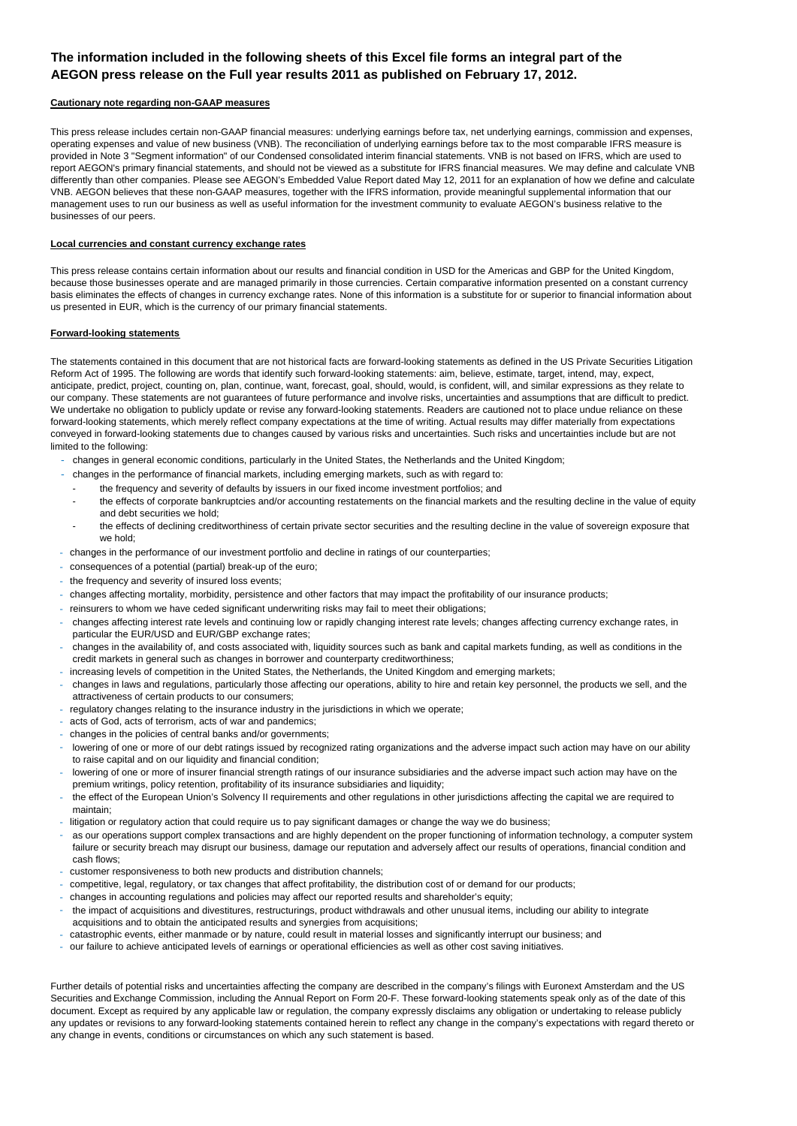## **The information included in the following sheets of this Excel file forms an integral part of the AEGON press release on the Full year results 2011 as published on February 17, 2012.**

#### **Cautionary note regarding non-GAAP measures**

This press release includes certain non-GAAP financial measures: underlying earnings before tax, net underlying earnings, commission and expenses, operating expenses and value of new business (VNB). The reconciliation of underlying earnings before tax to the most comparable IFRS measure is provided in Note 3 "Segment information" of our Condensed consolidated interim financial statements. VNB is not based on IFRS, which are used to report AEGON's primary financial statements, and should not be viewed as a substitute for IFRS financial measures. We may define and calculate VNB differently than other companies. Please see AEGON's Embedded Value Report dated May 12, 2011 for an explanation of how we define and calculate VNB. AEGON believes that these non-GAAP measures, together with the IFRS information, provide meaningful supplemental information that our management uses to run our business as well as useful information for the investment community to evaluate AEGON's business relative to the businesses of our peers.

#### **Local currencies and constant currency exchange rates**

This press release contains certain information about our results and financial condition in USD for the Americas and GBP for the United Kingdom, because those businesses operate and are managed primarily in those currencies. Certain comparative information presented on a constant currency basis eliminates the effects of changes in currency exchange rates. None of this information is a substitute for or superior to financial information about us presented in EUR, which is the currency of our primary financial statements.

#### **Forward-looking statements**

The statements contained in this document that are not historical facts are forward-looking statements as defined in the US Private Securities Litigation Reform Act of 1995. The following are words that identify such forward-looking statements: aim, believe, estimate, target, intend, may, expect, anticipate, predict, project, counting on, plan, continue, want, forecast, goal, should, would, is confident, will, and similar expressions as they relate to our company. These statements are not guarantees of future performance and involve risks, uncertainties and assumptions that are difficult to predict. We undertake no obligation to publicly update or revise any forward-looking statements. Readers are cautioned not to place undue reliance on these forward-looking statements, which merely reflect company expectations at the time of writing. Actual results may differ materially from expectations conveyed in forward-looking statements due to changes caused by various risks and uncertainties. Such risks and uncertainties include but are not limited to the following:

- changes in general economic conditions, particularly in the United States, the Netherlands and the United Kingdom;
- changes in the performance of financial markets, including emerging markets, such as with regard to:
- the frequency and severity of defaults by issuers in our fixed income investment portfolios; and
	- the effects of corporate bankruptcies and/or accounting restatements on the financial markets and the resulting decline in the value of equity and debt securities we hold;
- the effects of declining creditworthiness of certain private sector securities and the resulting decline in the value of sovereign exposure that we hold;
- changes in the performance of our investment portfolio and decline in ratings of our counterparties;
- consequences of a potential (partial) break-up of the euro;
- the frequency and severity of insured loss events;
- changes affecting mortality, morbidity, persistence and other factors that may impact the profitability of our insurance products;
- reinsurers to whom we have ceded significant underwriting risks may fail to meet their obligations;
- changes affecting interest rate levels and continuing low or rapidly changing interest rate levels; changes affecting currency exchange rates, in particular the EUR/USD and EUR/GBP exchange rates;
- changes in the availability of, and costs associated with, liquidity sources such as bank and capital markets funding, as well as conditions in the credit markets in general such as changes in borrower and counterparty creditworthiness;
- increasing levels of competition in the United States, the Netherlands, the United Kingdom and emerging markets;
- changes in laws and regulations, particularly those affecting our operations, ability to hire and retain key personnel, the products we sell, and the attractiveness of certain products to our consumers;
- regulatory changes relating to the insurance industry in the jurisdictions in which we operate;
- acts of God, acts of terrorism, acts of war and pandemics;
- changes in the policies of central banks and/or governments;
- lowering of one or more of our debt ratings issued by recognized rating organizations and the adverse impact such action may have on our ability to raise capital and on our liquidity and financial condition;
- lowering of one or more of insurer financial strength ratings of our insurance subsidiaries and the adverse impact such action may have on the premium writings, policy retention, profitability of its insurance subsidiaries and liquidity;
- the effect of the European Union's Solvency II requirements and other regulations in other jurisdictions affecting the capital we are required to maintain;
- litigation or regulatory action that could require us to pay significant damages or change the way we do business;
- as our operations support complex transactions and are highly dependent on the proper functioning of information technology, a computer system failure or security breach may disrupt our business, damage our reputation and adversely affect our results of operations, financial condition and cash flows;
- customer responsiveness to both new products and distribution channels;
- competitive, legal, regulatory, or tax changes that affect profitability, the distribution cost of or demand for our products;
- changes in accounting regulations and policies may affect our reported results and shareholder's equity;
- the impact of acquisitions and divestitures, restructurings, product withdrawals and other unusual items, including our ability to integrate acquisitions and to obtain the anticipated results and synergies from acquisitions;
- catastrophic events, either manmade or by nature, could result in material losses and significantly interrupt our business; and
- our failure to achieve anticipated levels of earnings or operational efficiencies as well as other cost saving initiatives.

Further details of potential risks and uncertainties affecting the company are described in the company's filings with Euronext Amsterdam and the US Securities and Exchange Commission, including the Annual Report on Form 20-F. These forward-looking statements speak only as of the date of this document. Except as required by any applicable law or regulation, the company expressly disclaims any obligation or undertaking to release publicly any updates or revisions to any forward-looking statements contained herein to reflect any change in the company's expectations with regard thereto or any change in events, conditions or circumstances on which any such statement is based.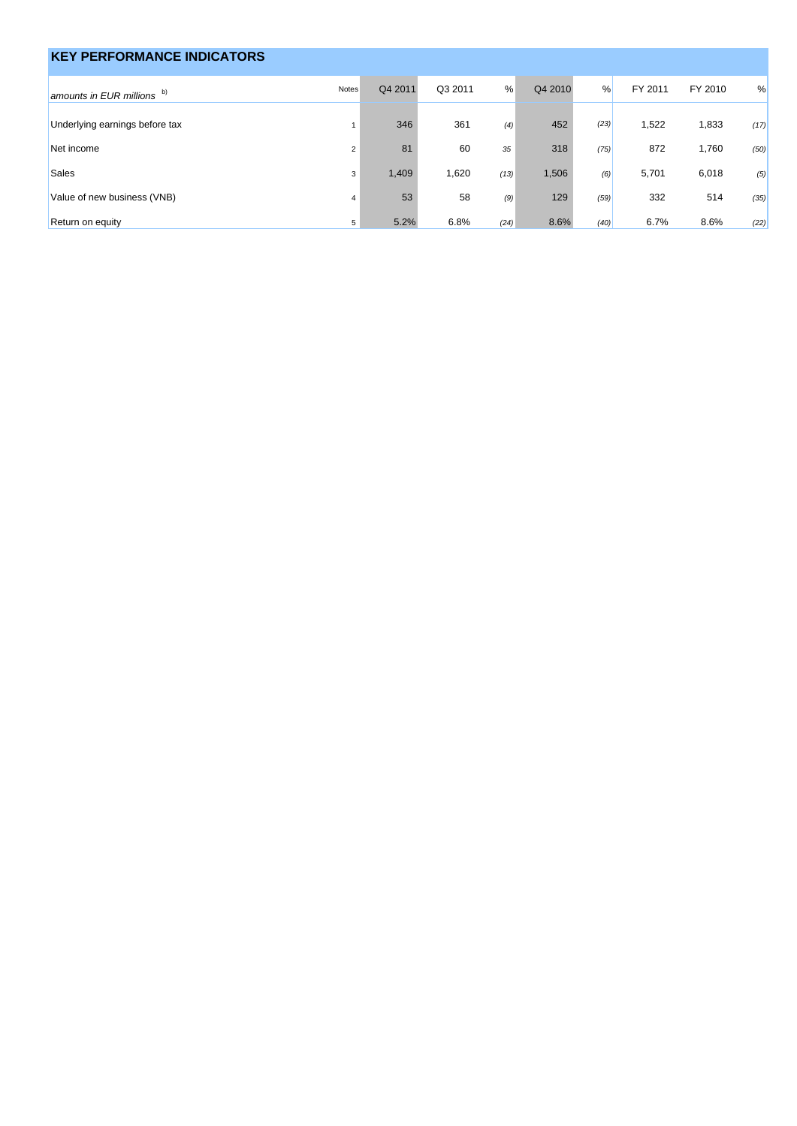| <b>KEY PERFORMANCE INDICATORS</b> |                |         |         |      |         |               |         |         |      |
|-----------------------------------|----------------|---------|---------|------|---------|---------------|---------|---------|------|
| amounts in EUR millions b)        | Notes          | Q4 2011 | Q3 2011 | %    | Q4 2010 | $\frac{9}{6}$ | FY 2011 | FY 2010 | %    |
| Underlying earnings before tax    |                | 346     | 361     | (4)  | 452     | (23)          | 1,522   | 1,833   | (17) |
| Net income                        | $\overline{2}$ | 81      | 60      | 35   | 318     | (75)          | 872     | 1,760   | (50) |
| <b>Sales</b>                      | 3              | 1,409   | 1,620   | (13) | 1,506   | (6)           | 5,701   | 6,018   | (5)  |
| Value of new business (VNB)       | $\overline{4}$ | 53      | 58      | (9)  | 129     | (59)          | 332     | 514     | (35) |
| Return on equity                  | 5              | 5.2%    | 6.8%    | (24) | 8.6%    | (40)          | 6.7%    | 8.6%    | (22) |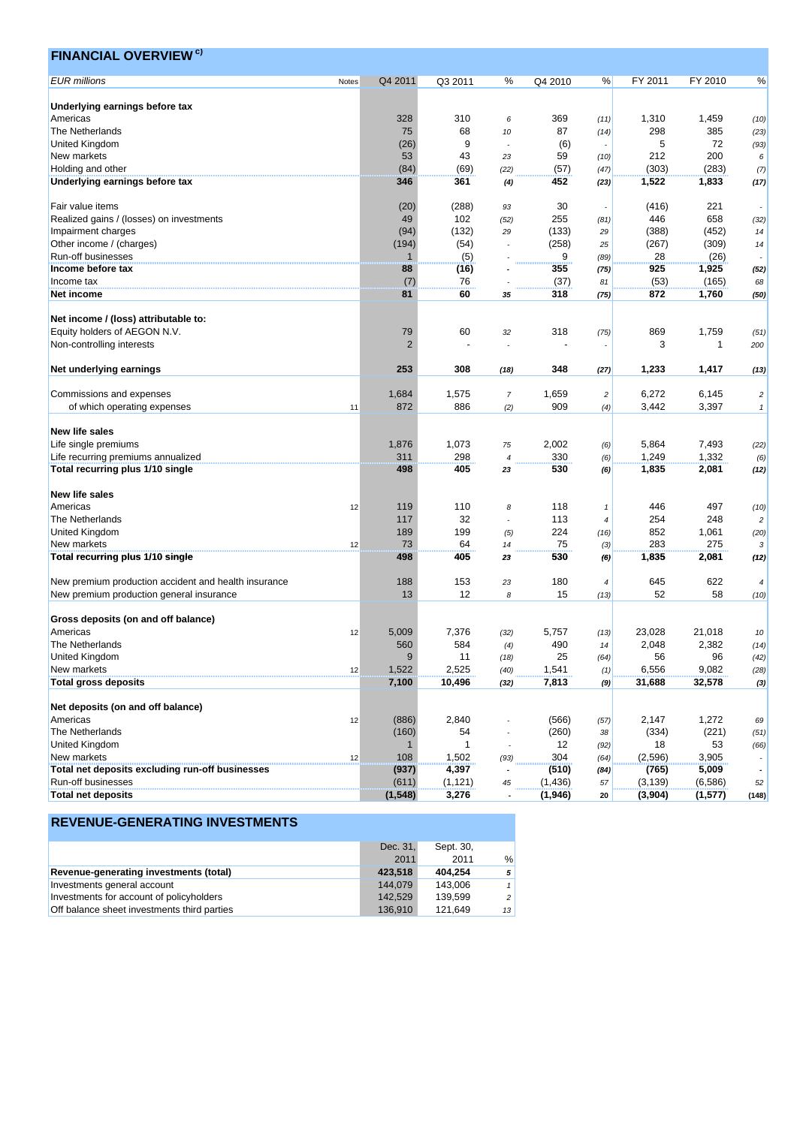| <b>FINANCIAL OVERVIEW<sup>c)</sup></b>                         |       |                |                |                |          |                |          |             |                          |
|----------------------------------------------------------------|-------|----------------|----------------|----------------|----------|----------------|----------|-------------|--------------------------|
| <b>EUR</b> millions                                            | Notes | Q4 2011        | Q3 2011        | %              | Q4 2010  | %              | FY 2011  | FY 2010     | %                        |
|                                                                |       |                |                |                |          |                |          |             |                          |
| Underlying earnings before tax                                 |       |                |                |                |          |                |          |             |                          |
| Americas                                                       |       | 328            | 310            | 6              | 369      | (11)           | 1,310    | 1,459       | (10)                     |
| The Netherlands                                                |       | 75             | 68             | 10             | 87       | (14)           | 298      | 385         | (23)                     |
| United Kingdom                                                 |       | (26)           | 9              |                | (6)      |                | 5        | 72          | (93)                     |
| New markets                                                    |       | 53             | 43             | 23             | 59       | (10)           | 212      | 200         | 6                        |
| Holding and other                                              |       | (84)           | (69)           | (22)           | (57)     | (47)           | (303)    | (283)       | (7)                      |
| Underlying earnings before tax                                 |       | 346            | 361            | (4)            | 452      | (23)           | 1,522    | 1,833       | (17)                     |
| Fair value items                                               |       | (20)           | (288)          | 93             | 30       |                | (416)    | 221         |                          |
| Realized gains / (losses) on investments                       |       | 49             | 102            | (52)           | 255      | (81)           | 446      | 658         | (32)                     |
| Impairment charges                                             |       | (94)           | (132)          | 29             | (133)    | 29             | (388)    | (452)       | 14                       |
| Other income / (charges)                                       |       | (194)          | (54)           |                | (258)    | 25             | (267)    | (309)       | 14                       |
| Run-off businesses                                             |       | 1              | (5)            |                | 9        | (89)           | 28       | (26)        |                          |
| Income before tax                                              |       | 88             | (16)           |                | 355      | (75)           | 925      | 1,925       | (52)                     |
| Income tax                                                     |       | (7)            | 76             |                | (37)     | 81             | (53)     | (165)       | 68                       |
| Net income                                                     |       | 81             | 60             | 35             | 318      | (75)           | 872      | 1,760       | (50)                     |
|                                                                |       |                |                |                |          |                |          |             |                          |
| Net income / (loss) attributable to:                           |       |                |                |                |          |                |          |             |                          |
| Equity holders of AEGON N.V.                                   |       | 79             | 60             | 32             | 318      | (75)           | 869      | 1,759       | (51)                     |
| Non-controlling interests                                      |       | 2              |                |                |          |                | 3        | $\mathbf 1$ | 200                      |
|                                                                |       |                |                |                |          |                |          |             |                          |
| Net underlying earnings                                        |       | 253            | 308            | (18)           | 348      | (27)           | 1,233    | 1,417       | (13)                     |
| Commissions and expenses                                       |       | 1,684          | 1,575          | $\overline{7}$ | 1,659    | $\overline{c}$ | 6,272    | 6,145       | $\overline{c}$           |
| of which operating expenses                                    |       | 872            | 886            |                | 909      |                | 3,442    | 3,397       |                          |
|                                                                | 11    |                |                | (2)            |          | (4)            |          |             | $\mathbf{1}$             |
| <b>New life sales</b>                                          |       |                |                |                |          |                |          |             |                          |
| Life single premiums                                           |       | 1,876          | 1,073          | 75             | 2,002    | (6)            | 5,864    | 7,493       | (22)                     |
| Life recurring premiums annualized                             |       | 311            | 298            | $\overline{4}$ | 330      | (6)            | 1,249    | 1,332       | (6)                      |
| Total recurring plus 1/10 single                               |       | 498            | 405            | 23             | 530      | (6)            | 1,835    | 2,081       | (12)                     |
| <b>New life sales</b>                                          |       |                |                |                |          |                |          |             |                          |
| Americas                                                       | 12    | 119            | 110            | 8              | 118      | $\mathbf{1}$   | 446      | 497         | (10)                     |
| The Netherlands                                                |       | 117            | 32             |                | 113      | 4              | 254      | 248         | $\overline{c}$           |
| United Kingdom                                                 |       | 189            | 199            | (5)            | 224      | (16)           | 852      | 1,061       |                          |
| New markets                                                    |       | 73             | 64             |                | 75       |                | 283      | 275         | (20)                     |
|                                                                | 12    | 498            | 405            | 14             | 530      | (3)            | 1,835    | 2,081       | 3                        |
| Total recurring plus 1/10 single                               |       |                |                | 23             |          | (6)            |          |             | (12)                     |
| New premium production accident and health insurance           |       | 188            | 153            | 23             | 180      | $\overline{4}$ | 645      | 622         | 4                        |
| New premium production general insurance                       |       | 13             | 12             | 8              | 15       |                | 52       | 58          |                          |
|                                                                |       |                |                |                |          | (13)           |          |             | (10)                     |
| Gross deposits (on and off balance)                            |       |                |                |                |          |                |          |             |                          |
| Americas                                                       | 12    | 5,009          | 7,376          | (32)           | 5,757    | (13)           | 23,028   | 21,018      | 10                       |
| The Netherlands                                                |       | 560            | 584            | (4)            | 490      | 14             | 2,048    | 2,382       | (14)                     |
| <b>United Kingdom</b>                                          |       | 9              | 11             | (18)           | 25       | (64)           | 56       | 96          | (42)                     |
| New markets                                                    | 12    | 1,522          | 2,525          | (40)           | 1,541    | (1)            | 6,556    | 9,082       | (28)                     |
| <b>Total gross deposits</b>                                    |       | 7,100          | 10,496         | (32)           | 7,813    | (9)            | 31,688   | 32,578      | (3)                      |
|                                                                |       |                |                |                |          |                |          |             |                          |
| Net deposits (on and off balance)                              |       |                |                |                |          |                |          |             |                          |
| Americas                                                       | 12    | (886)          | 2,840          |                | (566)    | (57)           | 2,147    | 1,272       | 69                       |
| The Netherlands                                                |       | (160)          | 54             |                | (260)    | 38             | (334)    | (221)       | (51)                     |
| United Kingdom                                                 |       | $\mathbf{1}$   | $\mathbf{1}$   |                | 12       |                | 18       | 53          |                          |
|                                                                |       | 108            |                |                | 304      | (92)           |          |             | (66)                     |
| New markets<br>Total net deposits excluding run-off businesses | 12    |                | 1,502<br>4,397 | (93)           |          | (64)           | (2,596)  | 3,905       |                          |
| Run-off businesses                                             |       | (937)<br>(611) | (1, 121)       |                | (510)    | (84)           | (765)    | 5,009       | $\overline{\phantom{a}}$ |
|                                                                |       |                |                | 45             | (1, 436) | 57             | (3, 139) | (6, 586)    | 52                       |
| <b>Total net deposits</b>                                      |       | (1, 548)       | 3,276          |                | (1,946)  | 20             | (3,904)  | (1,577)     | (148)                    |

|                                             | Dec. 31, | Sept. 30, |               |
|---------------------------------------------|----------|-----------|---------------|
|                                             | 2011     | 2011      | $\frac{0}{0}$ |
| Revenue-generating investments (total)      | 423.518  | 404.254   | 5             |
| Investments general account                 | 144.079  | 143.006   | $\mathbf{1}$  |
| Investments for account of policyholders    | 142.529  | 139.599   | 2             |
| Off balance sheet investments third parties | 136.910  | 121.649   | 13            |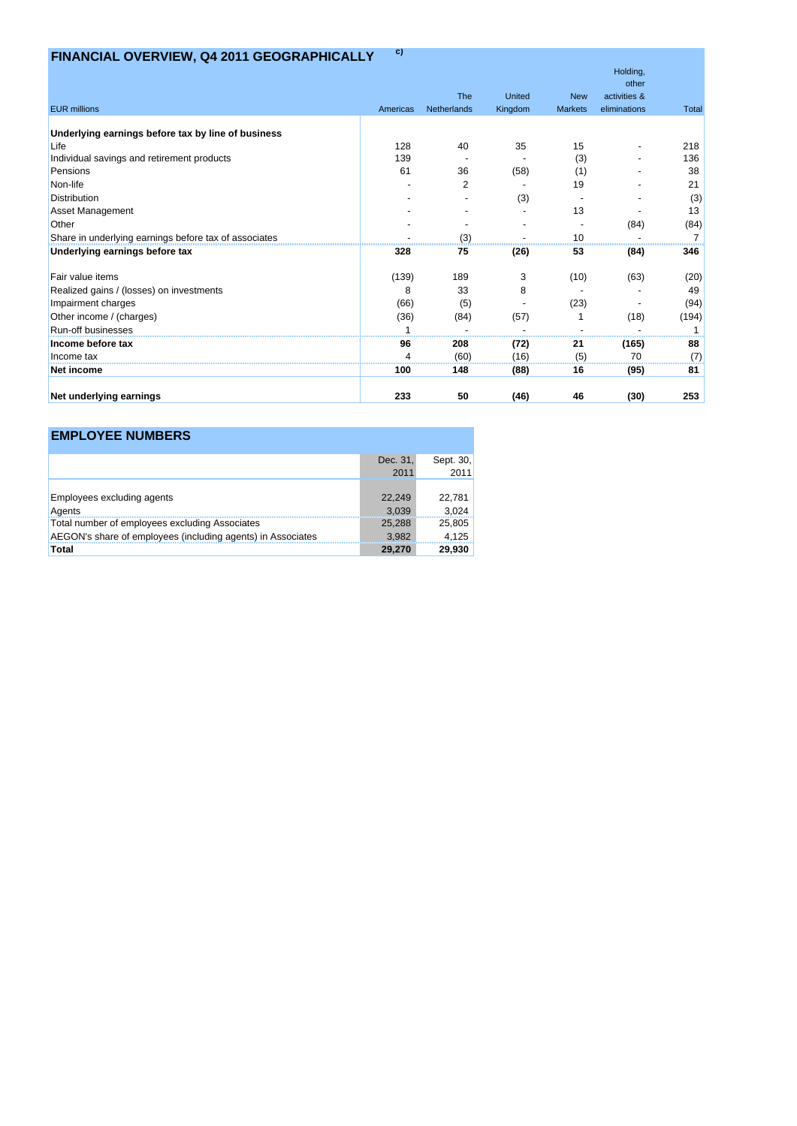# **FINANCIAL OVERVIEW, Q4 2011 GEOGRAPHICALLY c)**

|                                                       |          |             |         |                | Holding,              |       |
|-------------------------------------------------------|----------|-------------|---------|----------------|-----------------------|-------|
|                                                       |          | <b>The</b>  | United  | <b>New</b>     | other<br>activities & |       |
| <b>EUR millions</b>                                   | Americas | Netherlands | Kingdom | <b>Markets</b> | eliminations          | Total |
|                                                       |          |             |         |                |                       |       |
| Underlying earnings before tax by line of business    |          |             |         |                |                       |       |
| Life                                                  | 128      | 40          | 35      | 15             |                       | 218   |
| Individual savings and retirement products            | 139      |             |         | (3)            |                       | 136   |
| Pensions                                              | 61       | 36          | (58)    | (1)            |                       | 38    |
| Non-life                                              |          | 2           |         | 19             |                       | 21    |
| <b>Distribution</b>                                   |          |             | (3)     |                |                       | (3)   |
| Asset Management                                      |          |             |         | 13             |                       | 13    |
| Other                                                 |          |             |         |                | (84)                  | (84)  |
| Share in underlying earnings before tax of associates |          | (3)         |         | 10             |                       |       |
| Underlying earnings before tax                        | 328      | 75          | (26)    | 53             | (84)                  | 346   |
| Fair value items                                      | (139)    | 189         | 3       | (10)           | (63)                  | (20)  |
| Realized gains / (losses) on investments              | 8        | 33          | 8       |                |                       | 49    |
| Impairment charges                                    | (66)     | (5)         |         | (23)           |                       | (94)  |
| Other income / (charges)                              | (36)     | (84)        | (57)    |                | (18)                  | (194) |
| <b>Run-off businesses</b>                             |          |             |         |                |                       |       |
| Income before tax                                     | 96       | 208         | (72)    | 21             | (165)                 | 88    |
| Income tax                                            |          | (60)        | (16)    | (5)            | 70                    | (7)   |
| Net income                                            | 100      | 148         | (88)    | 16             | (95)                  | 81    |
| Net underlying earnings                               | 233      | 50          | (46)    | 46             | (30)                  | 253   |

# **EMPLOYEE NUMBERS**

|                                                             | Dec. 31. | Sept. 30. |
|-------------------------------------------------------------|----------|-----------|
|                                                             | 2011     | 2011      |
|                                                             |          |           |
| Employees excluding agents                                  | 22,249   | 22,781    |
| Agents                                                      | 3.039    | 3,024     |
| Total number of employees excluding Associates              | 25,288   | 25,805    |
| AEGON's share of employees (including agents) in Associates | 3.982    | 4,125     |
| Total                                                       | 29,270   | 29,930    |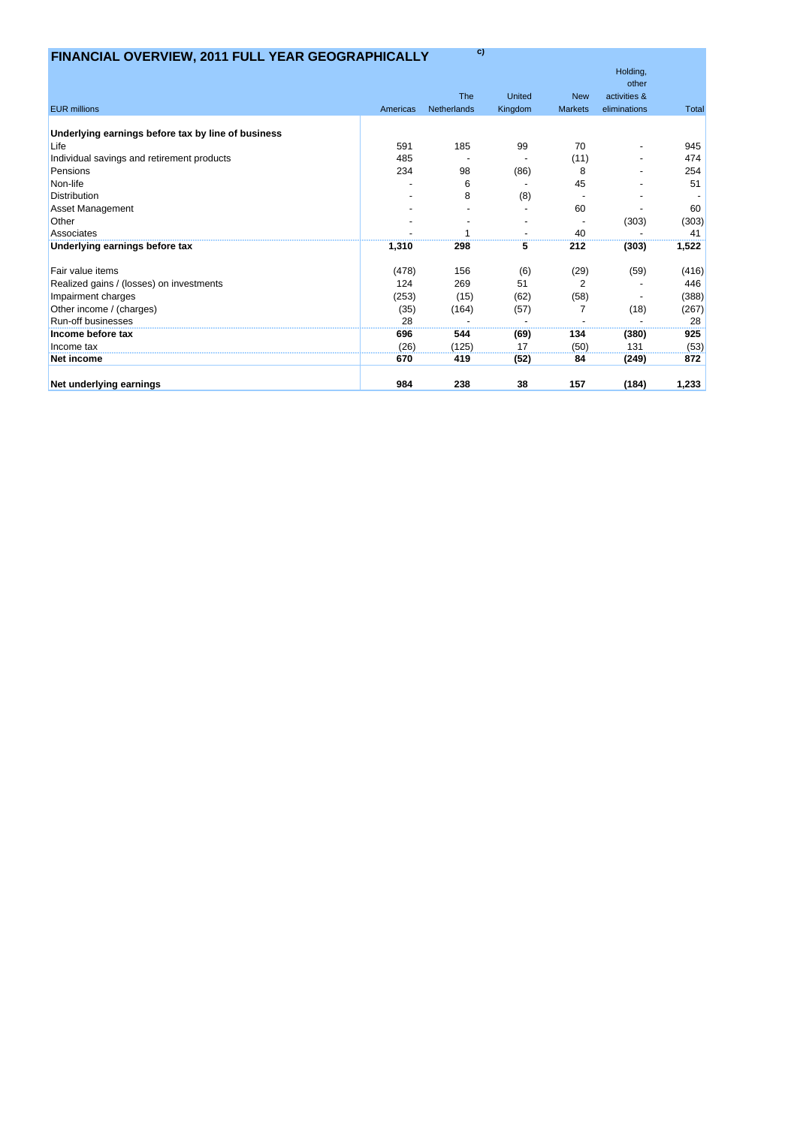# **FINANCIAL OVERVIEW, 2011 FULL YEAR GEOGRAPHICALLY c)**

|                                                    |          |             |         |                | Holding,              |       |
|----------------------------------------------------|----------|-------------|---------|----------------|-----------------------|-------|
|                                                    |          | <b>The</b>  | United  | <b>New</b>     | other<br>activities & |       |
| <b>EUR millions</b>                                | Americas | Netherlands | Kingdom | <b>Markets</b> | eliminations          | Total |
|                                                    |          |             |         |                |                       |       |
| Underlying earnings before tax by line of business |          |             |         |                |                       |       |
| Life                                               | 591      | 185         | 99      | 70             |                       | 945   |
| Individual savings and retirement products         | 485      |             |         | (11)           |                       | 474   |
| Pensions                                           | 234      | 98          | (86)    | 8              |                       | 254   |
| Non-life                                           |          | 6           |         | 45             |                       | 51    |
| <b>Distribution</b>                                |          | 8           | (8)     |                |                       |       |
| <b>Asset Management</b>                            |          |             |         | 60             |                       | 60    |
| Other                                              |          |             |         |                | (303)                 | (303) |
| Associates                                         |          |             |         | 40             |                       | 41    |
| Underlying earnings before tax                     | 1,310    | 298         | 5       | 212            | (303)                 | 1,522 |
| Fair value items                                   | (478)    | 156         | (6)     | (29)           | (59)                  | (416) |
| Realized gains / (losses) on investments           | 124      | 269         | 51      | $\overline{2}$ |                       | 446   |
| Impairment charges                                 | (253)    | (15)        | (62)    | (58)           |                       | (388) |
| Other income / (charges)                           | (35)     | (164)       | (57)    | $\overline{7}$ | (18)                  | (267) |
| <b>Run-off businesses</b>                          | 28       |             |         |                |                       | 28    |
| Income before tax                                  | 696      | 544         | (69)    | 134            | (380)                 | 925   |
| Income tax                                         | (26)     | (125)       | 17      | (50)           | 131                   | (53)  |
| Net income                                         | 670      | 419         | (52)    | 84             | (249)                 | 872   |
| Net underlying earnings                            | 984      | 238         | 38      | 157            | (184)                 | 1,233 |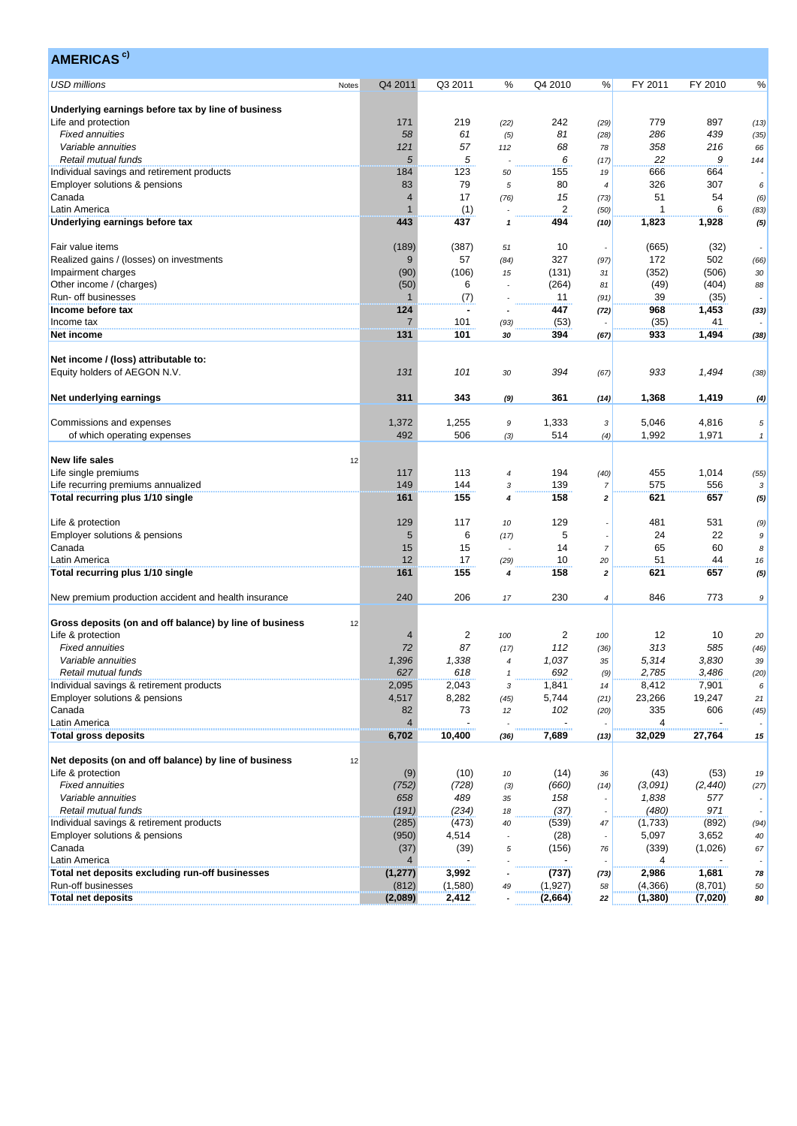| Q4 2011<br>Q3 2011<br>Q4 2010<br>FY 2011<br>FY 2010<br>℅<br>%<br>%<br>Notes<br>Underlying earnings before tax by line of business<br>Life and protection<br>171<br>219<br>242<br>779<br>897<br>(22)<br>(29)<br>(13)<br>286<br>439<br><b>Fixed annuities</b><br>58<br>61<br>81<br>(5)<br>(28)<br>(35)<br>57<br>358<br>Variable annuities<br>121<br>68<br>216<br>112<br>78<br>66<br>5<br>5<br>9<br>Retail mutual funds<br>6<br>22<br>(17)<br>144<br>184<br>123<br>666<br>664<br>Individual savings and retirement products<br>155<br>50<br>19<br>79<br>326<br>83<br>80<br>307<br>Employer solutions & pensions<br>5<br>6<br>4<br>17<br>15<br>51<br>54<br>Canada<br>$\overline{4}$<br>(76)<br>(73)<br>(6)<br>$\overline{2}$<br>$\overline{1}$<br>6<br>1<br>(1)<br>Latin America<br>(83)<br>(50)<br>443<br>437<br>494<br>1,823<br>1,928<br>1<br>(10)<br>(189)<br>(387)<br>10<br>(665)<br>(32)<br>51<br>$\sim$<br>172<br>9<br>57<br>327<br>502<br>(84)<br>(97)<br>(66)<br>(90)<br>(106)<br>(131)<br>(352)<br>(506)<br>15<br>30<br>31<br>(50)<br>6<br>(264)<br>(49)<br>(404)<br>Other income / (charges)<br>81<br>88<br>Run- off businesses<br>$\mathbf{1}$<br>(7)<br>39<br>(35)<br>11<br>(91)<br>$\overline{\phantom{a}}$<br>447<br>124<br>968<br>1,453<br>(72)<br>(33)<br>$\blacksquare$<br>$\overline{7}$<br>101<br>(53)<br>(35)<br>41<br>(93)<br>131<br>101<br>394<br>933<br>1,494<br>30<br>(67)<br>(38)<br>131<br>101<br>394<br>933<br>1,494<br>30<br>(67)<br>(38)<br>311<br>343<br>361<br>1,368<br>1,419<br>(9)<br>(14)<br>(4)<br>Commissions and expenses<br>1,372<br>1,255<br>1,333<br>5,046<br>4,816<br>9<br>3<br>5<br>492<br>1,992<br>506<br>514<br>1,971<br>of which operating expenses<br>(3)<br>(4)<br>$\mathbf{1}$<br>12<br>117<br>113<br>194<br>455<br>1,014<br>(40)<br>4<br>(55)<br>149<br>139<br>575<br>144<br>556<br>$\overline{7}$<br>3<br>3<br>161<br>155<br>158<br>621<br>657<br>$\boldsymbol{2}$<br>4<br>129<br>117<br>129<br>481<br>531<br>10<br>24<br>5<br>6<br>5<br>22<br>(17)<br>9<br>15<br>15<br>14<br>65<br>60<br>$\overline{7}$<br>8<br>12<br>17<br>51<br>10<br>44<br>20<br>(29)<br>16<br>161<br>155<br>158<br>621<br>657<br>$\overline{\mathbf{z}}$<br>4<br>240<br>206<br>230<br>846<br>773<br>17<br>4<br>9<br>12<br>$\overline{c}$<br>2<br>12<br>10<br>4<br>100<br>100<br>20<br>72<br>87<br>112<br>313<br>585<br><b>Fixed annuities</b><br>(17)<br>(36)<br>(46)<br>Variable annuities<br>1,396<br>1,338<br>1,037<br>5,314<br>3,830<br>35<br>39<br>4<br>Retail mutual funds<br>627<br>618<br>692<br>2,785<br>3,486<br>(20)<br>(9)<br>$\mathbf{1}$<br>1,841<br>8,412<br>7,901<br>2,095<br>2,043<br>6<br>3<br>14<br>8,282<br>5,744<br>19,247<br>4,517<br>23,266<br>(45)<br>(21)<br>21<br>606<br>73<br>102<br>335<br>82<br>$12\,$<br>(20)<br>$\overline{\mathbf{4}}$<br>$\overline{4}$<br>10,400<br>32,029<br>27,764<br>6,702<br>7,689<br>15<br>(36)<br>(13)<br>12<br>(10)<br>(14)<br>(43)<br>(53)<br>(9)<br>19<br>10<br>36<br><b>Fixed annuities</b><br>(752)<br>(728)<br>(660)<br>(3,091)<br>(2, 440)<br>(3)<br>(14)<br>Variable annuities<br>658<br>489<br>158<br>1,838<br>577<br>35<br>(191)<br>(234)<br>(37)<br>(480)<br>971<br>Retail mutual funds<br>18<br>$\blacksquare$<br>Individual savings & retirement products<br>(285)<br>(473)<br>(539)<br>(892)<br>(1,733)<br>40<br>47<br>(94)<br>(950)<br>4,514<br>(28)<br>5,097<br>3,652<br>40<br>(37)<br>(39)<br>(156)<br>(339)<br>(1,026)<br>67<br>5<br>76<br>$\overline{4}$<br>Latin America<br>$\overline{\mathbf{4}}$<br>Total net deposits excluding run-off businesses<br>(1, 277)<br>3,992<br>(737)<br>2,986<br>1,681<br>78<br>(73)<br>Run-off businesses<br>(812)<br>(1,580)<br>(1, 927)<br>(4,366)<br>(8,701)<br>49<br>50<br>58<br><b>Total net deposits</b><br>2,412<br>(2,089)<br>(2,664)<br>(1,380)<br>(7,020)<br>22<br>80 | <b>AMERICAS</b> <sup>c)</sup>                           |  |  |  |      |
|-----------------------------------------------------------------------------------------------------------------------------------------------------------------------------------------------------------------------------------------------------------------------------------------------------------------------------------------------------------------------------------------------------------------------------------------------------------------------------------------------------------------------------------------------------------------------------------------------------------------------------------------------------------------------------------------------------------------------------------------------------------------------------------------------------------------------------------------------------------------------------------------------------------------------------------------------------------------------------------------------------------------------------------------------------------------------------------------------------------------------------------------------------------------------------------------------------------------------------------------------------------------------------------------------------------------------------------------------------------------------------------------------------------------------------------------------------------------------------------------------------------------------------------------------------------------------------------------------------------------------------------------------------------------------------------------------------------------------------------------------------------------------------------------------------------------------------------------------------------------------------------------------------------------------------------------------------------------------------------------------------------------------------------------------------------------------------------------------------------------------------------------------------------------------------------------------------------------------------------------------------------------------------------------------------------------------------------------------------------------------------------------------------------------------------------------------------------------------------------------------------------------------------------------------------------------------------------------------------------------------------------------------------------------------------------------------------------------------------------------------------------------------------------------------------------------------------------------------------------------------------------------------------------------------------------------------------------------------------------------------------------------------------------------------------------------------------------------------------------------------------------------------------------------------------------------------------------------------------------------------------------------------------------------------------------------------------------------------------------------------------------------------------------------------------------------------------------------------------------------------------------------------------------------------------------------------------------------------------------------------------------------------------------------------------------------------------------------------------------------------------------------------------------------------------------------|---------------------------------------------------------|--|--|--|------|
|                                                                                                                                                                                                                                                                                                                                                                                                                                                                                                                                                                                                                                                                                                                                                                                                                                                                                                                                                                                                                                                                                                                                                                                                                                                                                                                                                                                                                                                                                                                                                                                                                                                                                                                                                                                                                                                                                                                                                                                                                                                                                                                                                                                                                                                                                                                                                                                                                                                                                                                                                                                                                                                                                                                                                                                                                                                                                                                                                                                                                                                                                                                                                                                                                                                                                                                                                                                                                                                                                                                                                                                                                                                                                                                                                                                                                 | <b>USD millions</b>                                     |  |  |  |      |
|                                                                                                                                                                                                                                                                                                                                                                                                                                                                                                                                                                                                                                                                                                                                                                                                                                                                                                                                                                                                                                                                                                                                                                                                                                                                                                                                                                                                                                                                                                                                                                                                                                                                                                                                                                                                                                                                                                                                                                                                                                                                                                                                                                                                                                                                                                                                                                                                                                                                                                                                                                                                                                                                                                                                                                                                                                                                                                                                                                                                                                                                                                                                                                                                                                                                                                                                                                                                                                                                                                                                                                                                                                                                                                                                                                                                                 |                                                         |  |  |  |      |
|                                                                                                                                                                                                                                                                                                                                                                                                                                                                                                                                                                                                                                                                                                                                                                                                                                                                                                                                                                                                                                                                                                                                                                                                                                                                                                                                                                                                                                                                                                                                                                                                                                                                                                                                                                                                                                                                                                                                                                                                                                                                                                                                                                                                                                                                                                                                                                                                                                                                                                                                                                                                                                                                                                                                                                                                                                                                                                                                                                                                                                                                                                                                                                                                                                                                                                                                                                                                                                                                                                                                                                                                                                                                                                                                                                                                                 |                                                         |  |  |  |      |
|                                                                                                                                                                                                                                                                                                                                                                                                                                                                                                                                                                                                                                                                                                                                                                                                                                                                                                                                                                                                                                                                                                                                                                                                                                                                                                                                                                                                                                                                                                                                                                                                                                                                                                                                                                                                                                                                                                                                                                                                                                                                                                                                                                                                                                                                                                                                                                                                                                                                                                                                                                                                                                                                                                                                                                                                                                                                                                                                                                                                                                                                                                                                                                                                                                                                                                                                                                                                                                                                                                                                                                                                                                                                                                                                                                                                                 |                                                         |  |  |  |      |
|                                                                                                                                                                                                                                                                                                                                                                                                                                                                                                                                                                                                                                                                                                                                                                                                                                                                                                                                                                                                                                                                                                                                                                                                                                                                                                                                                                                                                                                                                                                                                                                                                                                                                                                                                                                                                                                                                                                                                                                                                                                                                                                                                                                                                                                                                                                                                                                                                                                                                                                                                                                                                                                                                                                                                                                                                                                                                                                                                                                                                                                                                                                                                                                                                                                                                                                                                                                                                                                                                                                                                                                                                                                                                                                                                                                                                 |                                                         |  |  |  |      |
|                                                                                                                                                                                                                                                                                                                                                                                                                                                                                                                                                                                                                                                                                                                                                                                                                                                                                                                                                                                                                                                                                                                                                                                                                                                                                                                                                                                                                                                                                                                                                                                                                                                                                                                                                                                                                                                                                                                                                                                                                                                                                                                                                                                                                                                                                                                                                                                                                                                                                                                                                                                                                                                                                                                                                                                                                                                                                                                                                                                                                                                                                                                                                                                                                                                                                                                                                                                                                                                                                                                                                                                                                                                                                                                                                                                                                 |                                                         |  |  |  |      |
|                                                                                                                                                                                                                                                                                                                                                                                                                                                                                                                                                                                                                                                                                                                                                                                                                                                                                                                                                                                                                                                                                                                                                                                                                                                                                                                                                                                                                                                                                                                                                                                                                                                                                                                                                                                                                                                                                                                                                                                                                                                                                                                                                                                                                                                                                                                                                                                                                                                                                                                                                                                                                                                                                                                                                                                                                                                                                                                                                                                                                                                                                                                                                                                                                                                                                                                                                                                                                                                                                                                                                                                                                                                                                                                                                                                                                 |                                                         |  |  |  |      |
|                                                                                                                                                                                                                                                                                                                                                                                                                                                                                                                                                                                                                                                                                                                                                                                                                                                                                                                                                                                                                                                                                                                                                                                                                                                                                                                                                                                                                                                                                                                                                                                                                                                                                                                                                                                                                                                                                                                                                                                                                                                                                                                                                                                                                                                                                                                                                                                                                                                                                                                                                                                                                                                                                                                                                                                                                                                                                                                                                                                                                                                                                                                                                                                                                                                                                                                                                                                                                                                                                                                                                                                                                                                                                                                                                                                                                 |                                                         |  |  |  |      |
|                                                                                                                                                                                                                                                                                                                                                                                                                                                                                                                                                                                                                                                                                                                                                                                                                                                                                                                                                                                                                                                                                                                                                                                                                                                                                                                                                                                                                                                                                                                                                                                                                                                                                                                                                                                                                                                                                                                                                                                                                                                                                                                                                                                                                                                                                                                                                                                                                                                                                                                                                                                                                                                                                                                                                                                                                                                                                                                                                                                                                                                                                                                                                                                                                                                                                                                                                                                                                                                                                                                                                                                                                                                                                                                                                                                                                 |                                                         |  |  |  |      |
|                                                                                                                                                                                                                                                                                                                                                                                                                                                                                                                                                                                                                                                                                                                                                                                                                                                                                                                                                                                                                                                                                                                                                                                                                                                                                                                                                                                                                                                                                                                                                                                                                                                                                                                                                                                                                                                                                                                                                                                                                                                                                                                                                                                                                                                                                                                                                                                                                                                                                                                                                                                                                                                                                                                                                                                                                                                                                                                                                                                                                                                                                                                                                                                                                                                                                                                                                                                                                                                                                                                                                                                                                                                                                                                                                                                                                 |                                                         |  |  |  |      |
|                                                                                                                                                                                                                                                                                                                                                                                                                                                                                                                                                                                                                                                                                                                                                                                                                                                                                                                                                                                                                                                                                                                                                                                                                                                                                                                                                                                                                                                                                                                                                                                                                                                                                                                                                                                                                                                                                                                                                                                                                                                                                                                                                                                                                                                                                                                                                                                                                                                                                                                                                                                                                                                                                                                                                                                                                                                                                                                                                                                                                                                                                                                                                                                                                                                                                                                                                                                                                                                                                                                                                                                                                                                                                                                                                                                                                 | Underlying earnings before tax                          |  |  |  | (5)  |
|                                                                                                                                                                                                                                                                                                                                                                                                                                                                                                                                                                                                                                                                                                                                                                                                                                                                                                                                                                                                                                                                                                                                                                                                                                                                                                                                                                                                                                                                                                                                                                                                                                                                                                                                                                                                                                                                                                                                                                                                                                                                                                                                                                                                                                                                                                                                                                                                                                                                                                                                                                                                                                                                                                                                                                                                                                                                                                                                                                                                                                                                                                                                                                                                                                                                                                                                                                                                                                                                                                                                                                                                                                                                                                                                                                                                                 | Fair value items                                        |  |  |  |      |
|                                                                                                                                                                                                                                                                                                                                                                                                                                                                                                                                                                                                                                                                                                                                                                                                                                                                                                                                                                                                                                                                                                                                                                                                                                                                                                                                                                                                                                                                                                                                                                                                                                                                                                                                                                                                                                                                                                                                                                                                                                                                                                                                                                                                                                                                                                                                                                                                                                                                                                                                                                                                                                                                                                                                                                                                                                                                                                                                                                                                                                                                                                                                                                                                                                                                                                                                                                                                                                                                                                                                                                                                                                                                                                                                                                                                                 | Realized gains / (losses) on investments                |  |  |  |      |
|                                                                                                                                                                                                                                                                                                                                                                                                                                                                                                                                                                                                                                                                                                                                                                                                                                                                                                                                                                                                                                                                                                                                                                                                                                                                                                                                                                                                                                                                                                                                                                                                                                                                                                                                                                                                                                                                                                                                                                                                                                                                                                                                                                                                                                                                                                                                                                                                                                                                                                                                                                                                                                                                                                                                                                                                                                                                                                                                                                                                                                                                                                                                                                                                                                                                                                                                                                                                                                                                                                                                                                                                                                                                                                                                                                                                                 | Impairment charges                                      |  |  |  |      |
|                                                                                                                                                                                                                                                                                                                                                                                                                                                                                                                                                                                                                                                                                                                                                                                                                                                                                                                                                                                                                                                                                                                                                                                                                                                                                                                                                                                                                                                                                                                                                                                                                                                                                                                                                                                                                                                                                                                                                                                                                                                                                                                                                                                                                                                                                                                                                                                                                                                                                                                                                                                                                                                                                                                                                                                                                                                                                                                                                                                                                                                                                                                                                                                                                                                                                                                                                                                                                                                                                                                                                                                                                                                                                                                                                                                                                 |                                                         |  |  |  |      |
|                                                                                                                                                                                                                                                                                                                                                                                                                                                                                                                                                                                                                                                                                                                                                                                                                                                                                                                                                                                                                                                                                                                                                                                                                                                                                                                                                                                                                                                                                                                                                                                                                                                                                                                                                                                                                                                                                                                                                                                                                                                                                                                                                                                                                                                                                                                                                                                                                                                                                                                                                                                                                                                                                                                                                                                                                                                                                                                                                                                                                                                                                                                                                                                                                                                                                                                                                                                                                                                                                                                                                                                                                                                                                                                                                                                                                 |                                                         |  |  |  |      |
|                                                                                                                                                                                                                                                                                                                                                                                                                                                                                                                                                                                                                                                                                                                                                                                                                                                                                                                                                                                                                                                                                                                                                                                                                                                                                                                                                                                                                                                                                                                                                                                                                                                                                                                                                                                                                                                                                                                                                                                                                                                                                                                                                                                                                                                                                                                                                                                                                                                                                                                                                                                                                                                                                                                                                                                                                                                                                                                                                                                                                                                                                                                                                                                                                                                                                                                                                                                                                                                                                                                                                                                                                                                                                                                                                                                                                 | Income before tax                                       |  |  |  |      |
|                                                                                                                                                                                                                                                                                                                                                                                                                                                                                                                                                                                                                                                                                                                                                                                                                                                                                                                                                                                                                                                                                                                                                                                                                                                                                                                                                                                                                                                                                                                                                                                                                                                                                                                                                                                                                                                                                                                                                                                                                                                                                                                                                                                                                                                                                                                                                                                                                                                                                                                                                                                                                                                                                                                                                                                                                                                                                                                                                                                                                                                                                                                                                                                                                                                                                                                                                                                                                                                                                                                                                                                                                                                                                                                                                                                                                 | Income tax                                              |  |  |  |      |
|                                                                                                                                                                                                                                                                                                                                                                                                                                                                                                                                                                                                                                                                                                                                                                                                                                                                                                                                                                                                                                                                                                                                                                                                                                                                                                                                                                                                                                                                                                                                                                                                                                                                                                                                                                                                                                                                                                                                                                                                                                                                                                                                                                                                                                                                                                                                                                                                                                                                                                                                                                                                                                                                                                                                                                                                                                                                                                                                                                                                                                                                                                                                                                                                                                                                                                                                                                                                                                                                                                                                                                                                                                                                                                                                                                                                                 | Net income                                              |  |  |  |      |
|                                                                                                                                                                                                                                                                                                                                                                                                                                                                                                                                                                                                                                                                                                                                                                                                                                                                                                                                                                                                                                                                                                                                                                                                                                                                                                                                                                                                                                                                                                                                                                                                                                                                                                                                                                                                                                                                                                                                                                                                                                                                                                                                                                                                                                                                                                                                                                                                                                                                                                                                                                                                                                                                                                                                                                                                                                                                                                                                                                                                                                                                                                                                                                                                                                                                                                                                                                                                                                                                                                                                                                                                                                                                                                                                                                                                                 | Net income / (loss) attributable to:                    |  |  |  |      |
|                                                                                                                                                                                                                                                                                                                                                                                                                                                                                                                                                                                                                                                                                                                                                                                                                                                                                                                                                                                                                                                                                                                                                                                                                                                                                                                                                                                                                                                                                                                                                                                                                                                                                                                                                                                                                                                                                                                                                                                                                                                                                                                                                                                                                                                                                                                                                                                                                                                                                                                                                                                                                                                                                                                                                                                                                                                                                                                                                                                                                                                                                                                                                                                                                                                                                                                                                                                                                                                                                                                                                                                                                                                                                                                                                                                                                 | Equity holders of AEGON N.V.                            |  |  |  |      |
|                                                                                                                                                                                                                                                                                                                                                                                                                                                                                                                                                                                                                                                                                                                                                                                                                                                                                                                                                                                                                                                                                                                                                                                                                                                                                                                                                                                                                                                                                                                                                                                                                                                                                                                                                                                                                                                                                                                                                                                                                                                                                                                                                                                                                                                                                                                                                                                                                                                                                                                                                                                                                                                                                                                                                                                                                                                                                                                                                                                                                                                                                                                                                                                                                                                                                                                                                                                                                                                                                                                                                                                                                                                                                                                                                                                                                 | Net underlying earnings                                 |  |  |  |      |
|                                                                                                                                                                                                                                                                                                                                                                                                                                                                                                                                                                                                                                                                                                                                                                                                                                                                                                                                                                                                                                                                                                                                                                                                                                                                                                                                                                                                                                                                                                                                                                                                                                                                                                                                                                                                                                                                                                                                                                                                                                                                                                                                                                                                                                                                                                                                                                                                                                                                                                                                                                                                                                                                                                                                                                                                                                                                                                                                                                                                                                                                                                                                                                                                                                                                                                                                                                                                                                                                                                                                                                                                                                                                                                                                                                                                                 |                                                         |  |  |  |      |
|                                                                                                                                                                                                                                                                                                                                                                                                                                                                                                                                                                                                                                                                                                                                                                                                                                                                                                                                                                                                                                                                                                                                                                                                                                                                                                                                                                                                                                                                                                                                                                                                                                                                                                                                                                                                                                                                                                                                                                                                                                                                                                                                                                                                                                                                                                                                                                                                                                                                                                                                                                                                                                                                                                                                                                                                                                                                                                                                                                                                                                                                                                                                                                                                                                                                                                                                                                                                                                                                                                                                                                                                                                                                                                                                                                                                                 |                                                         |  |  |  |      |
|                                                                                                                                                                                                                                                                                                                                                                                                                                                                                                                                                                                                                                                                                                                                                                                                                                                                                                                                                                                                                                                                                                                                                                                                                                                                                                                                                                                                                                                                                                                                                                                                                                                                                                                                                                                                                                                                                                                                                                                                                                                                                                                                                                                                                                                                                                                                                                                                                                                                                                                                                                                                                                                                                                                                                                                                                                                                                                                                                                                                                                                                                                                                                                                                                                                                                                                                                                                                                                                                                                                                                                                                                                                                                                                                                                                                                 | New life sales                                          |  |  |  |      |
|                                                                                                                                                                                                                                                                                                                                                                                                                                                                                                                                                                                                                                                                                                                                                                                                                                                                                                                                                                                                                                                                                                                                                                                                                                                                                                                                                                                                                                                                                                                                                                                                                                                                                                                                                                                                                                                                                                                                                                                                                                                                                                                                                                                                                                                                                                                                                                                                                                                                                                                                                                                                                                                                                                                                                                                                                                                                                                                                                                                                                                                                                                                                                                                                                                                                                                                                                                                                                                                                                                                                                                                                                                                                                                                                                                                                                 | Life single premiums                                    |  |  |  |      |
|                                                                                                                                                                                                                                                                                                                                                                                                                                                                                                                                                                                                                                                                                                                                                                                                                                                                                                                                                                                                                                                                                                                                                                                                                                                                                                                                                                                                                                                                                                                                                                                                                                                                                                                                                                                                                                                                                                                                                                                                                                                                                                                                                                                                                                                                                                                                                                                                                                                                                                                                                                                                                                                                                                                                                                                                                                                                                                                                                                                                                                                                                                                                                                                                                                                                                                                                                                                                                                                                                                                                                                                                                                                                                                                                                                                                                 | Life recurring premiums annualized                      |  |  |  |      |
|                                                                                                                                                                                                                                                                                                                                                                                                                                                                                                                                                                                                                                                                                                                                                                                                                                                                                                                                                                                                                                                                                                                                                                                                                                                                                                                                                                                                                                                                                                                                                                                                                                                                                                                                                                                                                                                                                                                                                                                                                                                                                                                                                                                                                                                                                                                                                                                                                                                                                                                                                                                                                                                                                                                                                                                                                                                                                                                                                                                                                                                                                                                                                                                                                                                                                                                                                                                                                                                                                                                                                                                                                                                                                                                                                                                                                 | Total recurring plus 1/10 single                        |  |  |  | (5)  |
|                                                                                                                                                                                                                                                                                                                                                                                                                                                                                                                                                                                                                                                                                                                                                                                                                                                                                                                                                                                                                                                                                                                                                                                                                                                                                                                                                                                                                                                                                                                                                                                                                                                                                                                                                                                                                                                                                                                                                                                                                                                                                                                                                                                                                                                                                                                                                                                                                                                                                                                                                                                                                                                                                                                                                                                                                                                                                                                                                                                                                                                                                                                                                                                                                                                                                                                                                                                                                                                                                                                                                                                                                                                                                                                                                                                                                 | Life & protection                                       |  |  |  | (9)  |
|                                                                                                                                                                                                                                                                                                                                                                                                                                                                                                                                                                                                                                                                                                                                                                                                                                                                                                                                                                                                                                                                                                                                                                                                                                                                                                                                                                                                                                                                                                                                                                                                                                                                                                                                                                                                                                                                                                                                                                                                                                                                                                                                                                                                                                                                                                                                                                                                                                                                                                                                                                                                                                                                                                                                                                                                                                                                                                                                                                                                                                                                                                                                                                                                                                                                                                                                                                                                                                                                                                                                                                                                                                                                                                                                                                                                                 | Employer solutions & pensions                           |  |  |  |      |
|                                                                                                                                                                                                                                                                                                                                                                                                                                                                                                                                                                                                                                                                                                                                                                                                                                                                                                                                                                                                                                                                                                                                                                                                                                                                                                                                                                                                                                                                                                                                                                                                                                                                                                                                                                                                                                                                                                                                                                                                                                                                                                                                                                                                                                                                                                                                                                                                                                                                                                                                                                                                                                                                                                                                                                                                                                                                                                                                                                                                                                                                                                                                                                                                                                                                                                                                                                                                                                                                                                                                                                                                                                                                                                                                                                                                                 | Canada                                                  |  |  |  |      |
|                                                                                                                                                                                                                                                                                                                                                                                                                                                                                                                                                                                                                                                                                                                                                                                                                                                                                                                                                                                                                                                                                                                                                                                                                                                                                                                                                                                                                                                                                                                                                                                                                                                                                                                                                                                                                                                                                                                                                                                                                                                                                                                                                                                                                                                                                                                                                                                                                                                                                                                                                                                                                                                                                                                                                                                                                                                                                                                                                                                                                                                                                                                                                                                                                                                                                                                                                                                                                                                                                                                                                                                                                                                                                                                                                                                                                 | Latin America                                           |  |  |  |      |
|                                                                                                                                                                                                                                                                                                                                                                                                                                                                                                                                                                                                                                                                                                                                                                                                                                                                                                                                                                                                                                                                                                                                                                                                                                                                                                                                                                                                                                                                                                                                                                                                                                                                                                                                                                                                                                                                                                                                                                                                                                                                                                                                                                                                                                                                                                                                                                                                                                                                                                                                                                                                                                                                                                                                                                                                                                                                                                                                                                                                                                                                                                                                                                                                                                                                                                                                                                                                                                                                                                                                                                                                                                                                                                                                                                                                                 | Total recurring plus 1/10 single                        |  |  |  | (5)  |
|                                                                                                                                                                                                                                                                                                                                                                                                                                                                                                                                                                                                                                                                                                                                                                                                                                                                                                                                                                                                                                                                                                                                                                                                                                                                                                                                                                                                                                                                                                                                                                                                                                                                                                                                                                                                                                                                                                                                                                                                                                                                                                                                                                                                                                                                                                                                                                                                                                                                                                                                                                                                                                                                                                                                                                                                                                                                                                                                                                                                                                                                                                                                                                                                                                                                                                                                                                                                                                                                                                                                                                                                                                                                                                                                                                                                                 | New premium production accident and health insurance    |  |  |  |      |
|                                                                                                                                                                                                                                                                                                                                                                                                                                                                                                                                                                                                                                                                                                                                                                                                                                                                                                                                                                                                                                                                                                                                                                                                                                                                                                                                                                                                                                                                                                                                                                                                                                                                                                                                                                                                                                                                                                                                                                                                                                                                                                                                                                                                                                                                                                                                                                                                                                                                                                                                                                                                                                                                                                                                                                                                                                                                                                                                                                                                                                                                                                                                                                                                                                                                                                                                                                                                                                                                                                                                                                                                                                                                                                                                                                                                                 | Gross deposits (on and off balance) by line of business |  |  |  |      |
|                                                                                                                                                                                                                                                                                                                                                                                                                                                                                                                                                                                                                                                                                                                                                                                                                                                                                                                                                                                                                                                                                                                                                                                                                                                                                                                                                                                                                                                                                                                                                                                                                                                                                                                                                                                                                                                                                                                                                                                                                                                                                                                                                                                                                                                                                                                                                                                                                                                                                                                                                                                                                                                                                                                                                                                                                                                                                                                                                                                                                                                                                                                                                                                                                                                                                                                                                                                                                                                                                                                                                                                                                                                                                                                                                                                                                 | Life & protection                                       |  |  |  |      |
|                                                                                                                                                                                                                                                                                                                                                                                                                                                                                                                                                                                                                                                                                                                                                                                                                                                                                                                                                                                                                                                                                                                                                                                                                                                                                                                                                                                                                                                                                                                                                                                                                                                                                                                                                                                                                                                                                                                                                                                                                                                                                                                                                                                                                                                                                                                                                                                                                                                                                                                                                                                                                                                                                                                                                                                                                                                                                                                                                                                                                                                                                                                                                                                                                                                                                                                                                                                                                                                                                                                                                                                                                                                                                                                                                                                                                 |                                                         |  |  |  |      |
|                                                                                                                                                                                                                                                                                                                                                                                                                                                                                                                                                                                                                                                                                                                                                                                                                                                                                                                                                                                                                                                                                                                                                                                                                                                                                                                                                                                                                                                                                                                                                                                                                                                                                                                                                                                                                                                                                                                                                                                                                                                                                                                                                                                                                                                                                                                                                                                                                                                                                                                                                                                                                                                                                                                                                                                                                                                                                                                                                                                                                                                                                                                                                                                                                                                                                                                                                                                                                                                                                                                                                                                                                                                                                                                                                                                                                 |                                                         |  |  |  |      |
|                                                                                                                                                                                                                                                                                                                                                                                                                                                                                                                                                                                                                                                                                                                                                                                                                                                                                                                                                                                                                                                                                                                                                                                                                                                                                                                                                                                                                                                                                                                                                                                                                                                                                                                                                                                                                                                                                                                                                                                                                                                                                                                                                                                                                                                                                                                                                                                                                                                                                                                                                                                                                                                                                                                                                                                                                                                                                                                                                                                                                                                                                                                                                                                                                                                                                                                                                                                                                                                                                                                                                                                                                                                                                                                                                                                                                 |                                                         |  |  |  |      |
|                                                                                                                                                                                                                                                                                                                                                                                                                                                                                                                                                                                                                                                                                                                                                                                                                                                                                                                                                                                                                                                                                                                                                                                                                                                                                                                                                                                                                                                                                                                                                                                                                                                                                                                                                                                                                                                                                                                                                                                                                                                                                                                                                                                                                                                                                                                                                                                                                                                                                                                                                                                                                                                                                                                                                                                                                                                                                                                                                                                                                                                                                                                                                                                                                                                                                                                                                                                                                                                                                                                                                                                                                                                                                                                                                                                                                 | Individual savings & retirement products                |  |  |  |      |
|                                                                                                                                                                                                                                                                                                                                                                                                                                                                                                                                                                                                                                                                                                                                                                                                                                                                                                                                                                                                                                                                                                                                                                                                                                                                                                                                                                                                                                                                                                                                                                                                                                                                                                                                                                                                                                                                                                                                                                                                                                                                                                                                                                                                                                                                                                                                                                                                                                                                                                                                                                                                                                                                                                                                                                                                                                                                                                                                                                                                                                                                                                                                                                                                                                                                                                                                                                                                                                                                                                                                                                                                                                                                                                                                                                                                                 | Employer solutions & pensions                           |  |  |  |      |
|                                                                                                                                                                                                                                                                                                                                                                                                                                                                                                                                                                                                                                                                                                                                                                                                                                                                                                                                                                                                                                                                                                                                                                                                                                                                                                                                                                                                                                                                                                                                                                                                                                                                                                                                                                                                                                                                                                                                                                                                                                                                                                                                                                                                                                                                                                                                                                                                                                                                                                                                                                                                                                                                                                                                                                                                                                                                                                                                                                                                                                                                                                                                                                                                                                                                                                                                                                                                                                                                                                                                                                                                                                                                                                                                                                                                                 | Canada                                                  |  |  |  | (45) |
|                                                                                                                                                                                                                                                                                                                                                                                                                                                                                                                                                                                                                                                                                                                                                                                                                                                                                                                                                                                                                                                                                                                                                                                                                                                                                                                                                                                                                                                                                                                                                                                                                                                                                                                                                                                                                                                                                                                                                                                                                                                                                                                                                                                                                                                                                                                                                                                                                                                                                                                                                                                                                                                                                                                                                                                                                                                                                                                                                                                                                                                                                                                                                                                                                                                                                                                                                                                                                                                                                                                                                                                                                                                                                                                                                                                                                 | Latin America                                           |  |  |  |      |
|                                                                                                                                                                                                                                                                                                                                                                                                                                                                                                                                                                                                                                                                                                                                                                                                                                                                                                                                                                                                                                                                                                                                                                                                                                                                                                                                                                                                                                                                                                                                                                                                                                                                                                                                                                                                                                                                                                                                                                                                                                                                                                                                                                                                                                                                                                                                                                                                                                                                                                                                                                                                                                                                                                                                                                                                                                                                                                                                                                                                                                                                                                                                                                                                                                                                                                                                                                                                                                                                                                                                                                                                                                                                                                                                                                                                                 | <b>Total gross deposits</b>                             |  |  |  |      |
|                                                                                                                                                                                                                                                                                                                                                                                                                                                                                                                                                                                                                                                                                                                                                                                                                                                                                                                                                                                                                                                                                                                                                                                                                                                                                                                                                                                                                                                                                                                                                                                                                                                                                                                                                                                                                                                                                                                                                                                                                                                                                                                                                                                                                                                                                                                                                                                                                                                                                                                                                                                                                                                                                                                                                                                                                                                                                                                                                                                                                                                                                                                                                                                                                                                                                                                                                                                                                                                                                                                                                                                                                                                                                                                                                                                                                 | Net deposits (on and off balance) by line of business   |  |  |  |      |
|                                                                                                                                                                                                                                                                                                                                                                                                                                                                                                                                                                                                                                                                                                                                                                                                                                                                                                                                                                                                                                                                                                                                                                                                                                                                                                                                                                                                                                                                                                                                                                                                                                                                                                                                                                                                                                                                                                                                                                                                                                                                                                                                                                                                                                                                                                                                                                                                                                                                                                                                                                                                                                                                                                                                                                                                                                                                                                                                                                                                                                                                                                                                                                                                                                                                                                                                                                                                                                                                                                                                                                                                                                                                                                                                                                                                                 | Life & protection                                       |  |  |  |      |
|                                                                                                                                                                                                                                                                                                                                                                                                                                                                                                                                                                                                                                                                                                                                                                                                                                                                                                                                                                                                                                                                                                                                                                                                                                                                                                                                                                                                                                                                                                                                                                                                                                                                                                                                                                                                                                                                                                                                                                                                                                                                                                                                                                                                                                                                                                                                                                                                                                                                                                                                                                                                                                                                                                                                                                                                                                                                                                                                                                                                                                                                                                                                                                                                                                                                                                                                                                                                                                                                                                                                                                                                                                                                                                                                                                                                                 |                                                         |  |  |  | (27) |
|                                                                                                                                                                                                                                                                                                                                                                                                                                                                                                                                                                                                                                                                                                                                                                                                                                                                                                                                                                                                                                                                                                                                                                                                                                                                                                                                                                                                                                                                                                                                                                                                                                                                                                                                                                                                                                                                                                                                                                                                                                                                                                                                                                                                                                                                                                                                                                                                                                                                                                                                                                                                                                                                                                                                                                                                                                                                                                                                                                                                                                                                                                                                                                                                                                                                                                                                                                                                                                                                                                                                                                                                                                                                                                                                                                                                                 |                                                         |  |  |  |      |
|                                                                                                                                                                                                                                                                                                                                                                                                                                                                                                                                                                                                                                                                                                                                                                                                                                                                                                                                                                                                                                                                                                                                                                                                                                                                                                                                                                                                                                                                                                                                                                                                                                                                                                                                                                                                                                                                                                                                                                                                                                                                                                                                                                                                                                                                                                                                                                                                                                                                                                                                                                                                                                                                                                                                                                                                                                                                                                                                                                                                                                                                                                                                                                                                                                                                                                                                                                                                                                                                                                                                                                                                                                                                                                                                                                                                                 |                                                         |  |  |  |      |
|                                                                                                                                                                                                                                                                                                                                                                                                                                                                                                                                                                                                                                                                                                                                                                                                                                                                                                                                                                                                                                                                                                                                                                                                                                                                                                                                                                                                                                                                                                                                                                                                                                                                                                                                                                                                                                                                                                                                                                                                                                                                                                                                                                                                                                                                                                                                                                                                                                                                                                                                                                                                                                                                                                                                                                                                                                                                                                                                                                                                                                                                                                                                                                                                                                                                                                                                                                                                                                                                                                                                                                                                                                                                                                                                                                                                                 |                                                         |  |  |  |      |
|                                                                                                                                                                                                                                                                                                                                                                                                                                                                                                                                                                                                                                                                                                                                                                                                                                                                                                                                                                                                                                                                                                                                                                                                                                                                                                                                                                                                                                                                                                                                                                                                                                                                                                                                                                                                                                                                                                                                                                                                                                                                                                                                                                                                                                                                                                                                                                                                                                                                                                                                                                                                                                                                                                                                                                                                                                                                                                                                                                                                                                                                                                                                                                                                                                                                                                                                                                                                                                                                                                                                                                                                                                                                                                                                                                                                                 | Employer solutions & pensions                           |  |  |  |      |
|                                                                                                                                                                                                                                                                                                                                                                                                                                                                                                                                                                                                                                                                                                                                                                                                                                                                                                                                                                                                                                                                                                                                                                                                                                                                                                                                                                                                                                                                                                                                                                                                                                                                                                                                                                                                                                                                                                                                                                                                                                                                                                                                                                                                                                                                                                                                                                                                                                                                                                                                                                                                                                                                                                                                                                                                                                                                                                                                                                                                                                                                                                                                                                                                                                                                                                                                                                                                                                                                                                                                                                                                                                                                                                                                                                                                                 | Canada                                                  |  |  |  |      |
|                                                                                                                                                                                                                                                                                                                                                                                                                                                                                                                                                                                                                                                                                                                                                                                                                                                                                                                                                                                                                                                                                                                                                                                                                                                                                                                                                                                                                                                                                                                                                                                                                                                                                                                                                                                                                                                                                                                                                                                                                                                                                                                                                                                                                                                                                                                                                                                                                                                                                                                                                                                                                                                                                                                                                                                                                                                                                                                                                                                                                                                                                                                                                                                                                                                                                                                                                                                                                                                                                                                                                                                                                                                                                                                                                                                                                 |                                                         |  |  |  |      |
|                                                                                                                                                                                                                                                                                                                                                                                                                                                                                                                                                                                                                                                                                                                                                                                                                                                                                                                                                                                                                                                                                                                                                                                                                                                                                                                                                                                                                                                                                                                                                                                                                                                                                                                                                                                                                                                                                                                                                                                                                                                                                                                                                                                                                                                                                                                                                                                                                                                                                                                                                                                                                                                                                                                                                                                                                                                                                                                                                                                                                                                                                                                                                                                                                                                                                                                                                                                                                                                                                                                                                                                                                                                                                                                                                                                                                 |                                                         |  |  |  |      |
|                                                                                                                                                                                                                                                                                                                                                                                                                                                                                                                                                                                                                                                                                                                                                                                                                                                                                                                                                                                                                                                                                                                                                                                                                                                                                                                                                                                                                                                                                                                                                                                                                                                                                                                                                                                                                                                                                                                                                                                                                                                                                                                                                                                                                                                                                                                                                                                                                                                                                                                                                                                                                                                                                                                                                                                                                                                                                                                                                                                                                                                                                                                                                                                                                                                                                                                                                                                                                                                                                                                                                                                                                                                                                                                                                                                                                 |                                                         |  |  |  |      |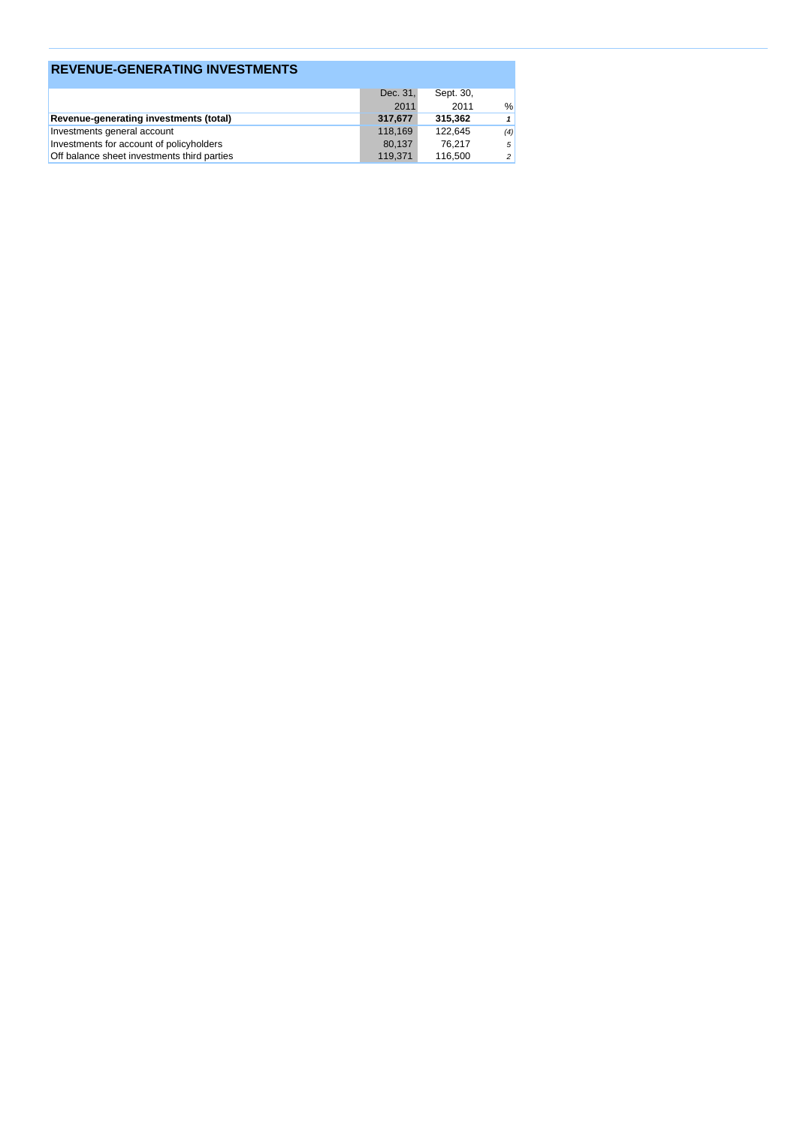| <b>REVENUE-GENERATING INVESTMENTS</b>       |          |           |                |
|---------------------------------------------|----------|-----------|----------------|
|                                             | Dec. 31, | Sept. 30, |                |
|                                             | 2011     | 2011      | $\frac{0}{0}$  |
| Revenue-generating investments (total)      | 317,677  | 315.362   |                |
| Investments general account                 | 118.169  | 122.645   | (4)            |
| Investments for account of policyholders    | 80.137   | 76.217    | 5              |
| Off balance sheet investments third parties | 119,371  | 116,500   | $\overline{c}$ |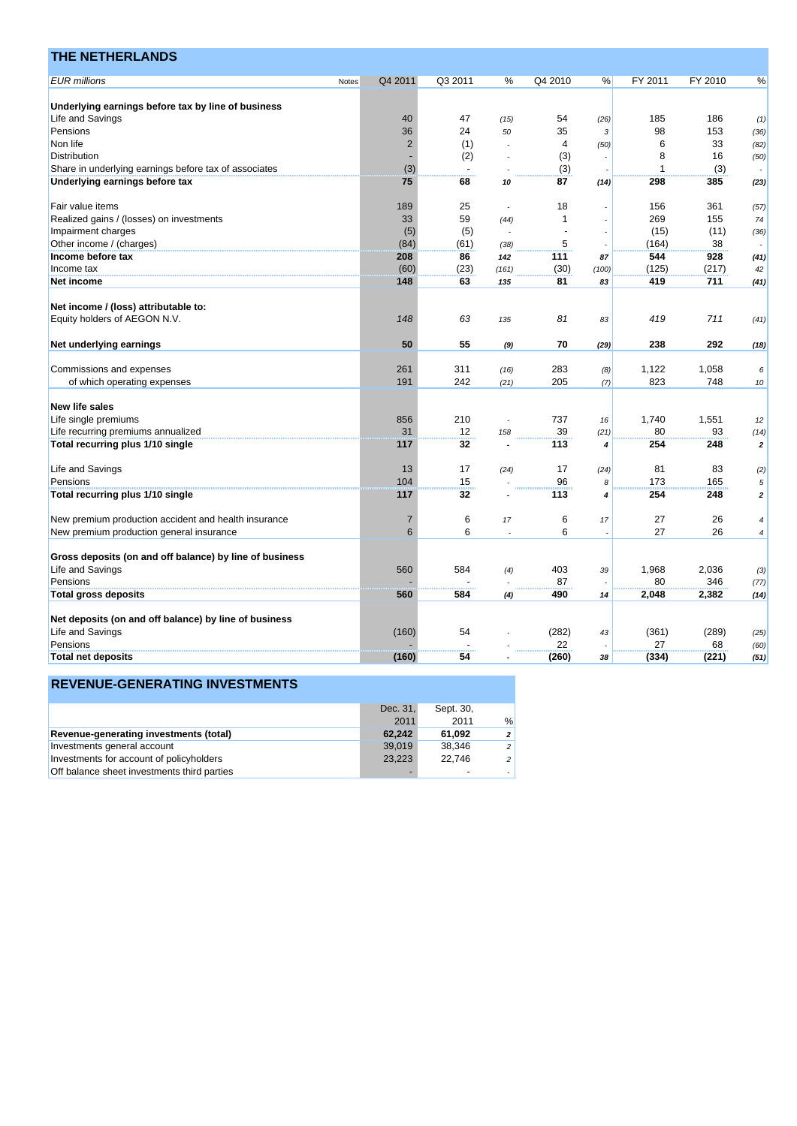| <b>THE NETHERLANDS</b>                                  |       |                |                          |       |         |       |             |         |                         |
|---------------------------------------------------------|-------|----------------|--------------------------|-------|---------|-------|-------------|---------|-------------------------|
| <b>EUR</b> millions                                     | Notes | Q4 2011        | Q3 2011                  | %     | Q4 2010 | %     | FY 2011     | FY 2010 | %                       |
|                                                         |       |                |                          |       |         |       |             |         |                         |
| Underlying earnings before tax by line of business      |       |                |                          |       |         |       |             |         |                         |
| Life and Savings                                        |       | 40             | 47                       | (15)  | 54      | (26)  | 185         | 186     | (1)                     |
| Pensions                                                |       | 36             | 24                       | 50    | 35      | 3     | 98          | 153     | (36)                    |
| Non life                                                |       | $\overline{2}$ | (1)                      |       | 4       | (50)  | 6           | 33      | (82)                    |
| Distribution                                            |       |                | (2)                      |       | (3)     |       | 8           | 16      | (50)                    |
| Share in underlying earnings before tax of associates   |       | (3)            | $\overline{\phantom{a}}$ |       | (3)     |       | 1           | (3)     |                         |
| Underlying earnings before tax                          |       | 75             | 68                       | 10    | 87      | (14)  | 298         | 385     | (23)                    |
| Fair value items                                        |       | 189            | 25                       |       | 18      |       | 156         | 361     | (57)                    |
| Realized gains / (losses) on investments                |       | 33             | 59                       | (44)  | 1       |       | 269         | 155     | 74                      |
| Impairment charges                                      |       | (5)            | (5)                      |       |         |       | (15)        | (11)    | (36)                    |
| Other income / (charges)                                |       | (84)           | (61)                     | (38)  | 5       |       | (164)       | 38      |                         |
| Income before tax                                       |       | 208            | 86                       | 142   | 111     | 87    | 544         | 928     | (41)                    |
| Income tax                                              |       | (60)           | (23)                     | (161) | (30)    | (100) | (125)       | (217)   | 42                      |
| Net income                                              |       | 148            | 63                       | 135   | 81      | 83    | 419         | 711     | (41)                    |
|                                                         |       |                |                          |       |         |       |             |         |                         |
| Net income / (loss) attributable to:                    |       |                |                          |       |         |       |             |         |                         |
| Equity holders of AEGON N.V.                            |       | 148            | 63                       | 135   | 81      | 83    | 419         | 711     | (41)                    |
| Net underlying earnings                                 |       | 50             | 55                       | (9)   | 70      | (29)  | 238         | 292     | (18)                    |
| Commissions and expenses                                |       | 261            | 311                      | (16)  | 283     | (8)   | 1,122       | 1,058   | 6                       |
| of which operating expenses                             |       | 191            | 242                      | (21)  | 205     | (7)   | 823         | 748     | 10                      |
| <b>New life sales</b>                                   |       |                |                          |       |         |       |             |         |                         |
| Life single premiums                                    |       | 856            | 210                      |       | 737     | 16    | 1,740       | 1,551   | 12                      |
| Life recurring premiums annualized                      |       | 31             | 12                       | 158   | 39      | (21)  | 80          | 93      | (14)                    |
| Total recurring plus 1/10 single                        |       | 117            | 32                       |       | 113     | 4     | 254         | 248     | $\overline{2}$          |
|                                                         |       |                |                          |       |         |       |             |         |                         |
| Life and Savings                                        |       | 13             | 17                       | (24)  | 17      | (24)  | 81          | 83      | (2)                     |
| Pensions                                                |       | 104            | 15                       |       | 96      | 8     | 173         | 165     | 5                       |
| Total recurring plus 1/10 single                        |       | 117            | 32                       |       | 113     | 4     | 254         | 248     | $\overline{\mathbf{c}}$ |
| New premium production accident and health insurance    |       | $\overline{7}$ | 6                        | 17    | 6       | 17    | 27          | 26      | 4                       |
| New premium production general insurance                |       | 6              | 6                        |       | 6       |       | 27          | 26      | 4                       |
| Gross deposits (on and off balance) by line of business |       |                |                          |       |         |       |             |         |                         |
| Life and Savings                                        |       | 560            | 584                      | (4)   | 403     | 39    | 1,968       | 2,036   | (3)                     |
| Pensions                                                |       |                |                          |       | 87      |       | 80          | 346     | (77)                    |
| <b>Total gross deposits</b>                             |       | 560            | 584                      | (4)   | 490     | 14    | 2,048       | 2,382   | (14)                    |
|                                                         |       |                |                          |       |         |       |             |         |                         |
| Net deposits (on and off balance) by line of business   |       |                |                          |       |         |       |             |         |                         |
| Life and Savings                                        |       | (160)          | 54                       |       | (282)   | 43    | (361)<br>27 | (289)   | (25)                    |
| Pensions                                                |       |                |                          |       | 22      |       |             | 68      | (60)                    |
| <b>Total net deposits</b>                               |       | (160)          | 54                       |       | (260)   | 38    | (334)       | (221)   | (51)                    |

|                                             | Dec. 31, | Sept. 30. |                |
|---------------------------------------------|----------|-----------|----------------|
|                                             | 2011     | 2011      | $\frac{0}{0}$  |
| Revenue-generating investments (total)      | 62.242   | 61.092    | $\overline{2}$ |
| Investments general account                 | 39,019   | 38.346    | 2              |
| Investments for account of policyholders    | 23.223   | 22.746    | 2              |
| Off balance sheet investments third parties |          | -         |                |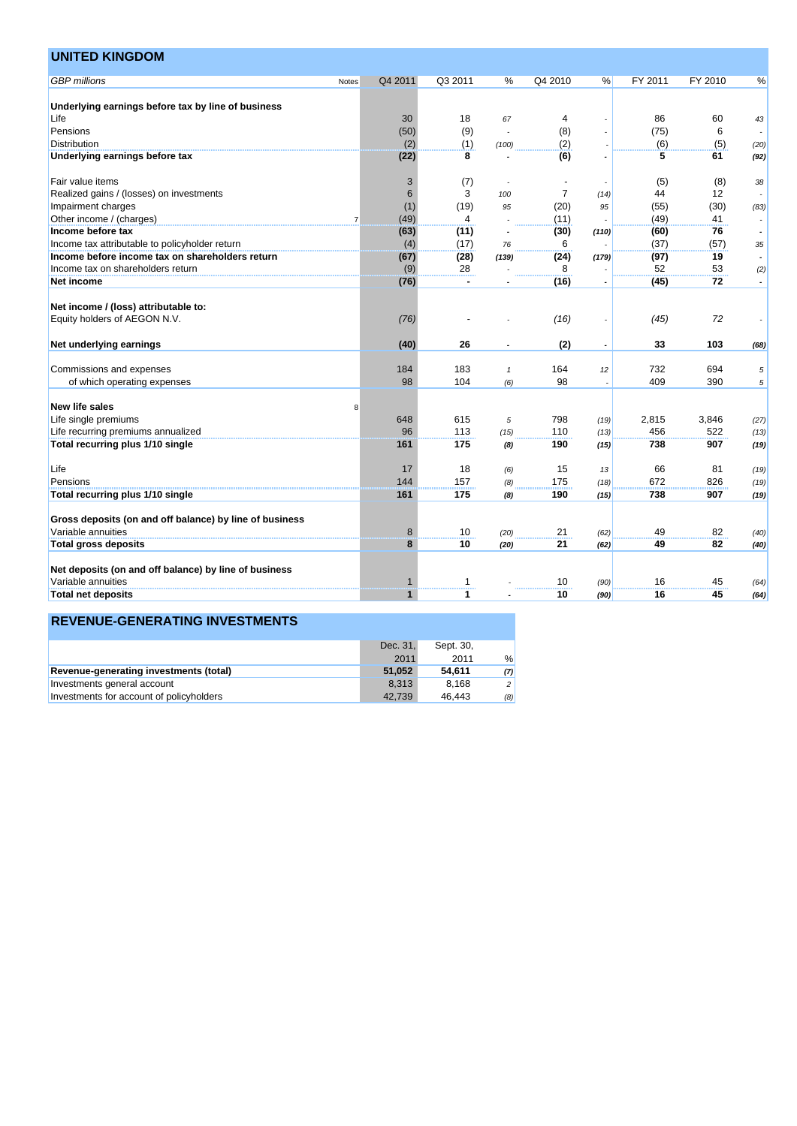| <b>UNITED KINGDOM</b>                                   |                |              |                |              |                |       |         |         |                          |
|---------------------------------------------------------|----------------|--------------|----------------|--------------|----------------|-------|---------|---------|--------------------------|
| <b>GBP</b> millions                                     | Notes          | Q4 2011      | Q3 2011        | %            | Q4 2010        | %     | FY 2011 | FY 2010 | $\%$                     |
| Underlying earnings before tax by line of business      |                |              |                |              |                |       |         |         |                          |
| Life                                                    |                | 30           | 18             | 67           | 4              |       | 86      | 60      | 43                       |
| Pensions                                                |                | (50)         | (9)            |              | (8)            |       | (75)    | 6       |                          |
| <b>Distribution</b>                                     |                | (2)          | (1)            | (100)        | (2)            |       | (6)     | (5)     | (20)                     |
| Underlying earnings before tax                          |                | (22)         | 8              |              | (6)            |       | 5       | 61      | (92)                     |
| Fair value items                                        |                | 3            | (7)            |              |                |       | (5)     | (8)     | 38                       |
| Realized gains / (losses) on investments                |                | 6            | 3              | 100          | $\overline{7}$ | (14)  | 44      | 12      |                          |
| Impairment charges                                      |                | (1)          | (19)           | 95           | (20)           | 95    | (55)    | (30)    | (83)                     |
| Other income / (charges)                                | $\overline{7}$ | (49)         | 4              |              | (11)           |       | (49)    | 41      |                          |
| Income before tax                                       |                | (63)         | (11)           |              | (30)           | (110) | (60)    | 76      | $\overline{\phantom{a}}$ |
| Income tax attributable to policyholder return          |                | (4)          | (17)           | 76           | 6              |       | (37)    | (57)    | 35                       |
| Income before income tax on shareholders return         |                | (67)         | (28)           | (139)        | (24)           | (179) | (97)    | 19      | $\overline{\phantom{a}}$ |
| Income tax on shareholders return                       |                | (9)          | 28             |              | 8              |       | 52      | 53      | (2)                      |
| Net income                                              |                | (76)         | $\blacksquare$ |              | (16)           |       | (45)    | 72      |                          |
|                                                         |                |              |                |              |                |       |         |         |                          |
| Net income / (loss) attributable to:                    |                |              |                |              |                |       |         |         |                          |
| Equity holders of AEGON N.V.                            |                | (76)         |                |              | (16)           |       | (45)    | 72      |                          |
| Net underlying earnings                                 |                | (40)         | 26             |              | (2)            |       | 33      | 103     | (68)                     |
| Commissions and expenses                                |                | 184          | 183            | $\mathbf{1}$ | 164            | 12    | 732     | 694     | 5                        |
| of which operating expenses                             |                | 98           | 104            | (6)          | 98             |       | 409     | 390     | 5                        |
|                                                         |                |              |                |              |                |       |         |         |                          |
| <b>New life sales</b>                                   | 8              |              |                |              |                |       |         |         |                          |
| Life single premiums                                    |                | 648          | 615            | 5            | 798            | (19)  | 2,815   | 3,846   | (27)                     |
| Life recurring premiums annualized                      |                | 96           | 113            | (15)         | 110            | (13)  | 456     | 522     | (13)                     |
| Total recurring plus 1/10 single                        |                | 161          | 175            | (8)          | 190            | (15)  | 738     | 907     | (19)                     |
| Life                                                    |                | 17           | 18             | (6)          | 15             | 13    | 66      | 81      | (19)                     |
| Pensions                                                |                | 144          | 157            | (8)          | 175            | (18)  | 672     | 826     | (19)                     |
| Total recurring plus 1/10 single                        |                | 161          | 175            | (8)          | 190            | (15)  | 738     | 907     | (19)                     |
| Gross deposits (on and off balance) by line of business |                |              |                |              |                |       |         |         |                          |
| Variable annuities                                      |                | 8            | 10             |              | 21             |       | 49      | 82      |                          |
|                                                         |                | 8            | 10             | (20)         | 21             | (62)  | 49      | 82      | (40)                     |
| <b>Total gross deposits</b>                             |                |              |                | (20)         |                | (62)  |         |         | (40)                     |
| Net deposits (on and off balance) by line of business   |                |              |                |              |                |       |         |         |                          |
| Variable annuities                                      |                | 1            | $\mathbf{1}$   |              | 10             | (90)  | 16      | 45      | (64)                     |
| Total net deposits                                      |                | $\mathbf{1}$ | 1              |              | 10             | (90)  | 16      | 45      | (64)                     |

|                                          | Dec. 31. | Sept. 30, |     |
|------------------------------------------|----------|-----------|-----|
|                                          | 2011     | 2011      | %   |
| Revenue-generating investments (total)   | 51.052   | 54.611    | (7) |
| Investments general account              | 8.313    | 8.168     | 2   |
| Investments for account of policyholders | 42.739   | 46.443    | (8) |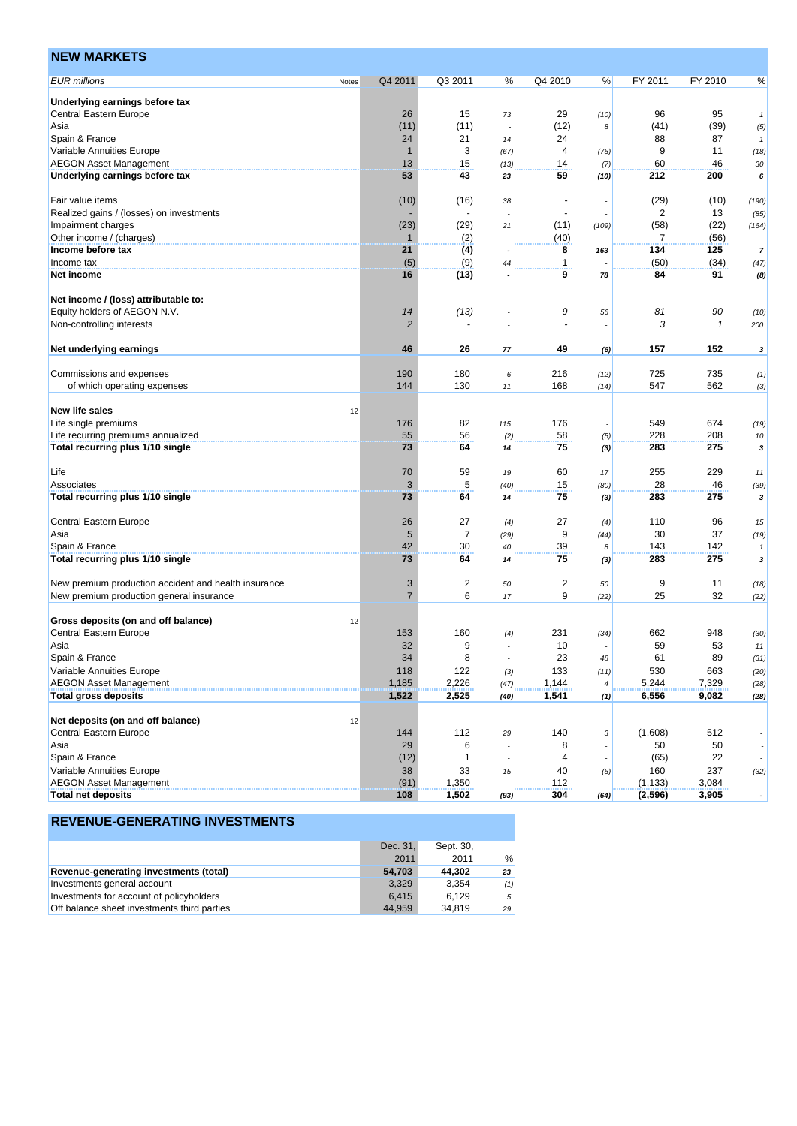| <b>NEW MARKETS</b>                                   |       |                |                |      |                          |       |                |              |                          |
|------------------------------------------------------|-------|----------------|----------------|------|--------------------------|-------|----------------|--------------|--------------------------|
| <b>EUR millions</b>                                  | Notes | Q4 2011        | Q3 2011        | %    | Q4 2010                  | %     | FY 2011        | FY 2010      | %                        |
| Underlying earnings before tax                       |       |                |                |      |                          |       |                |              |                          |
| <b>Central Eastern Europe</b>                        |       | 26             | 15             | 73   | 29                       | (10)  | 96             | 95           | $\boldsymbol{1}$         |
| Asia                                                 |       | (11)           | (11)           |      | (12)                     | 8     | (41)           | (39)         | (5)                      |
| Spain & France                                       |       | 24             | 21             | 14   | 24                       |       | 88             | 87           | $\mathbf{1}$             |
| Variable Annuities Europe                            |       | $\mathbf 1$    | 3              | (67) | 4                        | (75)  | 9              | 11           | (18)                     |
| <b>AEGON Asset Management</b>                        |       | 13             | 15             | (13) | 14                       | (7)   | 60             | 46           | 30                       |
| Underlying earnings before tax                       |       | 53             | 43             | 23   | 59                       | (10)  | 212            | 200          | 6                        |
| Fair value items                                     |       | (10)           | (16)           | 38   | $\overline{\phantom{a}}$ |       | (29)           | (10)         | (190)                    |
| Realized gains / (losses) on investments             |       |                |                |      | $\sim$                   |       | $\overline{c}$ | 13           | (85)                     |
| Impairment charges                                   |       | (23)           | (29)           | 21   | (11)                     | (109) | (58)           | (22)         | (164)                    |
| Other income / (charges)                             |       | 1              | (2)            |      | (40)                     |       | 7              | (56)         |                          |
| Income before tax                                    |       | 21             | (4)            |      | 8                        | 163   | 134            | 125          | $\overline{7}$           |
| Income tax                                           |       | (5)            | (9)            | 44   | 1                        |       | (50)           | (34)         | (47)                     |
| Net income                                           |       | 16             | (13)           |      | 9                        | 78    | 84             | 91           | (8)                      |
| Net income / (loss) attributable to:                 |       |                |                |      |                          |       |                |              |                          |
| Equity holders of AEGON N.V.                         |       | 14             | (13)           |      | 9                        | 56    | 81             | 90           | (10)                     |
| Non-controlling interests                            |       | $\overline{2}$ |                |      | ÷,                       |       | 3              | $\mathcal I$ | 200                      |
| Net underlying earnings                              |       | 46             | 26             | 77   | 49                       | (6)   | 157            | 152          | 3                        |
| Commissions and expenses                             |       | 190            | 180            |      | 216                      |       | 725            | 735          |                          |
| of which operating expenses                          |       | 144            | 130            | 6    | 168                      | (12)  | 547            | 562          | (1)                      |
|                                                      |       |                |                | 11   |                          | (14)  |                |              | (3)                      |
| <b>New life sales</b>                                | 12    |                |                |      |                          |       |                |              |                          |
| Life single premiums                                 |       | 176            | 82             | 115  | 176                      |       | 549            | 674          | (19)                     |
| Life recurring premiums annualized                   |       | 55             | 56             | (2)  | 58                       | (5)   | 228            | 208          | 10                       |
| Total recurring plus 1/10 single                     |       | 73             | 64             | 14   | 75                       | (3)   | 283            | 275          | 3                        |
|                                                      |       |                |                |      |                          |       |                |              |                          |
| Life                                                 |       | 70             | 59             | 19   | 60                       | 17    | 255            | 229          | 11                       |
| Associates                                           |       | 3              | $\sqrt{5}$     | (40) | 15                       | (80)  | 28             | 46           | (39)                     |
| Total recurring plus 1/10 single                     |       | 73             | 64             | 14   | 75                       | (3)   | 283            | 275          | 3                        |
| Central Eastern Europe                               |       | 26             | 27             | (4)  | 27                       | (4)   | 110            | 96           | 15                       |
| Asia                                                 |       | $\sqrt{5}$     | $\overline{7}$ | (29) | 9                        | (44)  | 30             | 37           | (19)                     |
| Spain & France                                       |       | 42             | 30             | 40   | 39                       | 8     | 143            | 142          | $\mathbf{1}$             |
| Total recurring plus 1/10 single                     |       | 73             | 64             | 14   | 75                       | (3)   | 283            | 275          | 3                        |
|                                                      |       |                |                |      |                          |       |                |              |                          |
| New premium production accident and health insurance |       | 3              | $\overline{c}$ | 50   | 2                        | 50    | 9              | 11           | (18)                     |
| New premium production general insurance             |       | $\overline{7}$ | 6              | 17   | 9                        | (22)  | 25             | 32           | (22)                     |
| Gross deposits (on and off balance)                  | 12    |                |                |      |                          |       |                |              |                          |
| <b>Central Eastern Europe</b>                        |       | 153            | 160            | (4)  | 231                      | (34)  | 662            | 948          | (30)                     |
| Asia                                                 |       | 32             | 9              |      | $10$                     |       | 59             | 53           | 77                       |
| Spain & France                                       |       | 34             | 8              |      | 23                       | 48    | 61             | 89           | (31)                     |
| Variable Annuities Europe                            |       | 118            | 122            | (3)  | 133                      | (11)  | 530            | 663          | (20)                     |
| <b>AEGON Asset Management</b>                        |       | 1,185          | 2,226          | (47) | 1,144                    | 4     | 5,244          | 7,329        | (28)                     |
| <b>Total gross deposits</b>                          |       | 1,522          | 2,525          | (40) | 1,541                    | (1)   | 6,556          | 9,082        | (28)                     |
|                                                      |       |                |                |      |                          |       |                |              |                          |
| Net deposits (on and off balance)                    | 12    |                |                |      |                          |       |                |              |                          |
| <b>Central Eastern Europe</b>                        |       | 144            | 112            | 29   | 140                      | 3     | (1,608)        | 512          |                          |
| Asia                                                 |       | 29             | 6              |      | 8                        |       | 50             | 50           |                          |
| Spain & France                                       |       | (12)           | $\mathbf{1}$   |      | 4                        |       | (65)           | 22           |                          |
| Variable Annuities Europe                            |       | 38             | 33             | 15   | 40                       | (5)   | 160            | 237          | (32)                     |
| <b>AEGON Asset Management</b>                        |       | (91)           | 1,350          |      | 112                      |       | (1, 133)       | 3,084        |                          |
| <b>Total net deposits</b>                            |       | 108            | 1,502          | (93) | 304                      | (64)  | (2,596)        | 3,905        | $\overline{\phantom{a}}$ |

|                                             | Dec. 31, | Sept. 30, |            |
|---------------------------------------------|----------|-----------|------------|
|                                             | 2011     | 2011      | %          |
| Revenue-generating investments (total)      | 54.703   | 44.302    | 23         |
| Investments general account                 | 3.329    | 3.354     | (1)        |
| Investments for account of policyholders    | 6.415    | 6.129     | $\sqrt{5}$ |
| Off balance sheet investments third parties | 44.959   | 34.819    | 29         |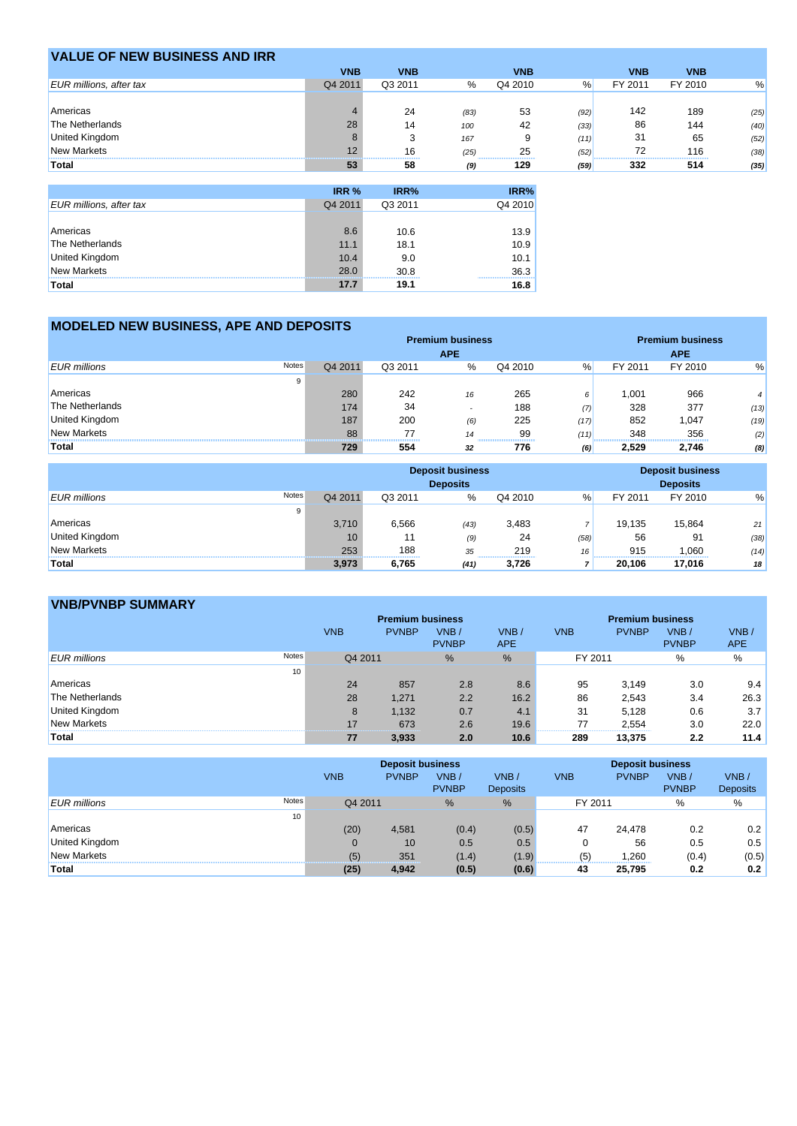| <b>VALUE OF NEW BUSINESS AND IRR</b> |            |            |      |            |      |            |            |      |
|--------------------------------------|------------|------------|------|------------|------|------------|------------|------|
|                                      | <b>VNB</b> | <b>VNB</b> |      | <b>VNB</b> |      | <b>VNB</b> | <b>VNB</b> |      |
| <b>EUR</b> millions, after tax       | Q4 2011    | Q3 2011    | %    | Q4 2010    | %    | FY 2011    | FY 2010    | %    |
|                                      |            |            |      |            |      |            |            |      |
| Americas                             |            | 24         | (83) | 53         | (92) | 142        | 189        | (25) |
| The Netherlands                      | 28         | 14         | 100  | 42         | (33) | 86         | 144        | (40) |
| United Kingdom                       |            |            | 167  | 9          | (11) | 31         | 65         | (52) |
| <b>New Markets</b>                   |            | 16         | (25) | 25         | (52) | 72         | 116        | (38) |
| Total                                | 53         | 58         | (9)  | 129        | (59) | 332        | 514        | (35) |

|                                | IRR %   | IRR%    | IRR%                   |
|--------------------------------|---------|---------|------------------------|
| <b>EUR millions, after tax</b> | Q4 2011 | Q3 2011 | Q4 2010                |
|                                |         |         |                        |
| Americas                       | 8.6     | 10.6    | 13.9                   |
| The Netherlands                | 11.1    | 18.1    | 10.9                   |
| <b>United Kingdom</b>          | 10.4    | 9.0     | 10.1                   |
| <b>New Markets</b>             | 28.0    | 30.8    | 36.3<br>,,,,,,,,,,,,,, |
| Total                          | 17.7    | 19.1    | 16.8                   |

## **MODELED NEW BUSINESS, APE AND DEPOSITS**

|                              | <b>Premium business</b> |         |                          |         |      | <b>Premium business</b> |            |      |  |
|------------------------------|-------------------------|---------|--------------------------|---------|------|-------------------------|------------|------|--|
|                              |                         |         | <b>APE</b>               |         |      |                         | <b>APE</b> |      |  |
| Notes<br><b>EUR</b> millions | Q4 2011                 | Q3 2011 | %                        | Q4 2010 | %    | FY 2011                 | FY 2010    | %    |  |
| 9                            |                         |         |                          |         |      |                         |            |      |  |
| Americas                     | 280                     | 242     | 16                       | 265     | 6    | 1.001                   | 966        |      |  |
| The Netherlands              | 174                     | 34      | $\overline{\phantom{a}}$ | 188     | (7)  | 328                     | 377        | (13) |  |
| United Kingdom               | 187                     | 200     | (6)                      | 225     | (17) | 852                     | 1.047      | (19) |  |
| <b>New Markets</b>           | 88                      |         | 14                       | 99<br>  | (11) | 348                     | 356        | (2)  |  |
| Total                        | 729                     | 554     | 32                       | 776     | (6)  | 2,529                   | 2,746      | (8)  |  |

|                                     | <b>Deposit business</b><br><b>Deposits</b> |         |      |                                     |      | <b>Deposit business</b><br><b>Deposits</b> |         |      |
|-------------------------------------|--------------------------------------------|---------|------|-------------------------------------|------|--------------------------------------------|---------|------|
| <b>Notes</b><br><b>EUR</b> millions | Q4 2011                                    | Q3 2011 | $\%$ | Q4 2010                             | $\%$ | FY 2011                                    | FY 2010 | %    |
| 9                                   |                                            |         |      |                                     |      |                                            |         |      |
| Americas                            | 3.710                                      | 6,566   | (43) | 3,483                               |      | 19.135                                     | 15.864  | 21   |
| <b>United Kingdom</b>               | 10                                         | 11      | (9)  | 24                                  | (58) | 56                                         | 91      | (38) |
| New Markets                         | 253                                        | 188     | 35   | 219<br>,,,,,,,,,,,,,,,,,,,,,,,,,,,, | 16   | 915                                        | 1.060   | (14) |
| Total                               | 3.973                                      | 6,765   | (41) | 3.726                               |      | 20.106                                     | 17,016  | 18   |

# **VNB/PVNBP SUMMARY**

|                              |            | <b>Premium business</b> |              |      | <b>Premium business</b> |              |              |            |
|------------------------------|------------|-------------------------|--------------|------|-------------------------|--------------|--------------|------------|
|                              | <b>VNB</b> | <b>PVNBP</b>            | VNB/         | VNB/ | <b>VNB</b>              | <b>PVNBP</b> | VNB/         | VNB/       |
|                              |            |                         | <b>PVNBP</b> | APE  |                         |              | <b>PVNBP</b> | <b>APE</b> |
| Notes<br><b>EUR</b> millions |            | Q4 2011                 | %            | %    | FY 2011                 |              | %            | %          |
| 10                           |            |                         |              |      |                         |              |              |            |
| Americas                     | 24         | 857                     | 2.8          | 8.6  | 95                      | 3.149        | 3.0          | 9.4        |
| The Netherlands              | 28         | 1.271                   | 2.2          | 16.2 | 86                      | 2,543        | 3.4          | 26.3       |
| United Kingdom               | 8          | 1,132                   | 0.7          | 4.1  | 31                      | 5.128        | 0.6          | 3.7        |
| <b>New Markets</b>           | 17         | 673                     | 2.6          | 19.6 | 77<br>                  | 2.554        | 3.0          | 22.0       |
| Total                        | 77         | 3.933                   | 2.0          | 10.6 | 289                     | 13.375       | 2.2          | 11.4       |

|                              |            | <b>Deposit business</b> |                      |                         |            | <b>Deposit business</b> |                      |                         |  |
|------------------------------|------------|-------------------------|----------------------|-------------------------|------------|-------------------------|----------------------|-------------------------|--|
|                              | <b>VNB</b> | <b>PVNBP</b>            | VNB/<br><b>PVNBP</b> | VNB/<br><b>Deposits</b> | <b>VNB</b> | <b>PVNBP</b>            | VNB/<br><b>PVNBP</b> | VNB/<br><b>Deposits</b> |  |
| Notes<br><b>EUR</b> millions | Q4 2011    |                         | $\%$                 | %                       | FY 2011    |                         | %                    | %                       |  |
| 10                           |            |                         |                      |                         |            |                         |                      |                         |  |
| Americas                     | (20)       | 4,581                   | (0.4)                | (0.5)                   | 47         | 24.478                  | 0.2                  | 0.2                     |  |
| <b>United Kingdom</b>        |            | 10                      | 0.5                  | 0.5                     |            | 56                      | 0.5                  | 0.5                     |  |
| <b>New Markets</b>           | (5)        | 351                     | (1.4)                | (1.9)                   | (5)        | .260                    | (0.4)                | (0.5)                   |  |
| Total                        | (25)       | 4,942                   | (0.5)                | (0.6)                   | 43         | 25,795                  | 0.2                  | 0.2                     |  |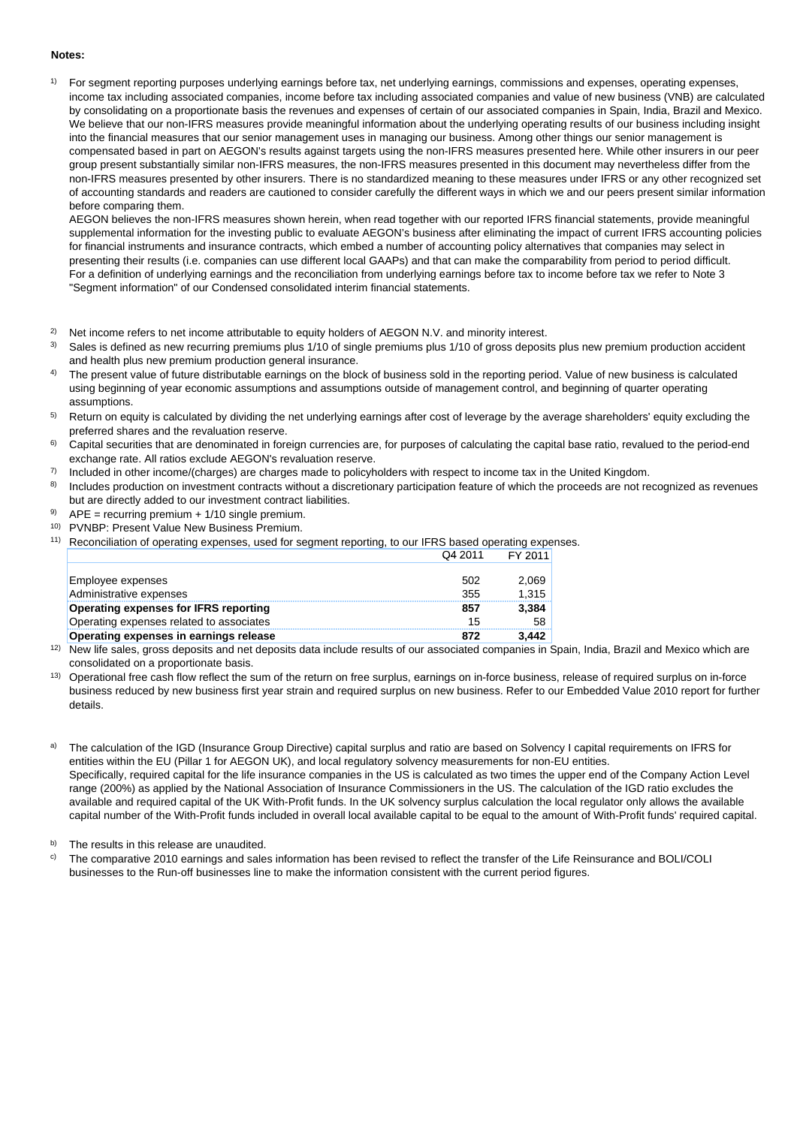#### **Notes:**

1) For segment reporting purposes underlying earnings before tax, net underlying earnings, commissions and expenses, operating expenses, income tax including associated companies, income before tax including associated companies and value of new business (VNB) are calculated by consolidating on a proportionate basis the revenues and expenses of certain of our associated companies in Spain, India, Brazil and Mexico. We believe that our non-IFRS measures provide meaningful information about the underlying operating results of our business including insight into the financial measures that our senior management uses in managing our business. Among other things our senior management is compensated based in part on AEGON's results against targets using the non-IFRS measures presented here. While other insurers in our peer group present substantially similar non-IFRS measures, the non-IFRS measures presented in this document may nevertheless differ from the non-IFRS measures presented by other insurers. There is no standardized meaning to these measures under IFRS or any other recognized set of accounting standards and readers are cautioned to consider carefully the different ways in which we and our peers present similar information before comparing them.

AEGON believes the non-IFRS measures shown herein, when read together with our reported IFRS financial statements, provide meaningful supplemental information for the investing public to evaluate AEGON's business after eliminating the impact of current IFRS accounting policies for financial instruments and insurance contracts, which embed a number of accounting policy alternatives that companies may select in presenting their results (i.e. companies can use different local GAAPs) and that can make the comparability from period to period difficult. For a definition of underlying earnings and the reconciliation from underlying earnings before tax to income before tax we refer to Note 3 "Segment information" of our Condensed consolidated interim financial statements.

- 2) Net income refers to net income attributable to equity holders of AEGON N.V. and minority interest.
- 3) Sales is defined as new recurring premiums plus 1/10 of single premiums plus 1/10 of gross deposits plus new premium production accident and health plus new premium production general insurance.
- 4) The present value of future distributable earnings on the block of business sold in the reporting period. Value of new business is calculated using beginning of year economic assumptions and assumptions outside of management control, and beginning of quarter operating assumptions.
- 5) Return on equity is calculated by dividing the net underlying earnings after cost of leverage by the average shareholders' equity excluding the preferred shares and the revaluation reserve.
- 6) Capital securities that are denominated in foreign currencies are, for purposes of calculating the capital base ratio, revalued to the period-end exchange rate. All ratios exclude AEGON's revaluation reserve.
- 7) Included in other income/(charges) are charges made to policyholders with respect to income tax in the United Kingdom.
- 8) Includes production on investment contracts without a discretionary participation feature of which the proceeds are not recognized as revenues but are directly added to our investment contract liabilities.
- 9)  $APE = recurring premium + 1/10 single premium$ .
- 10) PVNBP: Present Value New Business Premium.
- 11) Reconciliation of operating expenses, used for segment reporting, to our IFRS based operating expenses. Q4 2011 FY 2011

|                                          | - - - - - | .     |
|------------------------------------------|-----------|-------|
|                                          |           |       |
| Employee expenses                        | 502       | 2,069 |
| Administrative expenses                  | 355       | 1.315 |
| Operating expenses for IFRS reporting    | 857       | 3,384 |
| Operating expenses related to associates | 15        | 58    |
| Operating expenses in earnings release   | 872       | 3.442 |

- <sup>12)</sup> New life sales, gross deposits and net deposits data include results of our associated companies in Spain, India, Brazil and Mexico which are consolidated on a proportionate basis.
- <sup>13)</sup> Operational free cash flow reflect the sum of the return on free surplus, earnings on in-force business, release of required surplus on in-force business reduced by new business first year strain and required surplus on new business. Refer to our Embedded Value 2010 report for further details.
- The calculation of the IGD (Insurance Group Directive) capital surplus and ratio are based on Solvency I capital requirements on IFRS for entities within the EU (Pillar 1 for AEGON UK), and local regulatory solvency measurements for non-EU entities. Specifically, required capital for the life insurance companies in the US is calculated as two times the upper end of the Company Action Level range (200%) as applied by the National Association of Insurance Commissioners in the US. The calculation of the IGD ratio excludes the available and required capital of the UK With-Profit funds. In the UK solvency surplus calculation the local regulator only allows the available capital number of the With-Profit funds included in overall local available capital to be equal to the amount of With-Profit funds' required capital.

b) The results in this release are unaudited.

 $\degree$  The comparative 2010 earnings and sales information has been revised to reflect the transfer of the Life Reinsurance and BOLI/COLI businesses to the Run-off businesses line to make the information consistent with the current period figures.